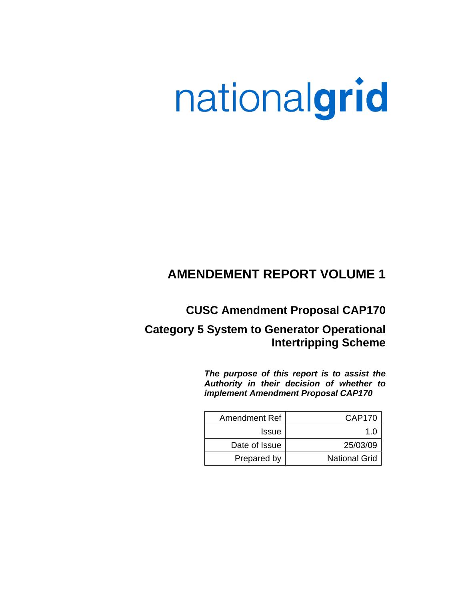# nationalgrid

# **AMENDEMENT REPORT VOLUME 1**

**CUSC Amendment Proposal CAP170** 

# **Category 5 System to Generator Operational Intertripping Scheme**

*The purpose of this report is to assist the Authority in their decision of whether to implement Amendment Proposal CAP170* 

| <b>Amendment Ref</b> | CAP170               |
|----------------------|----------------------|
| <b>Issue</b>         | 1 በ                  |
| Date of Issue        | 25/03/09             |
| Prepared by          | <b>National Grid</b> |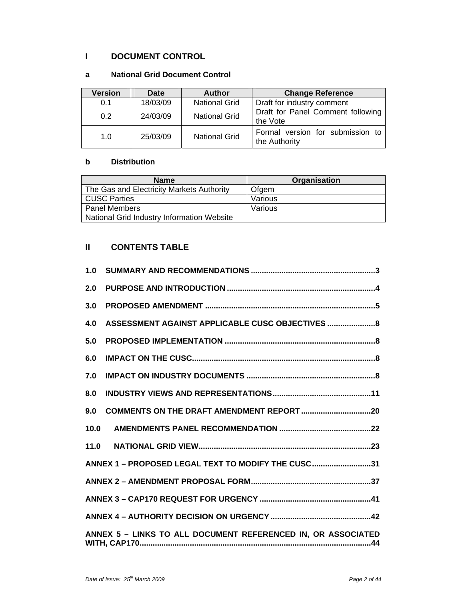# **I DOCUMENT CONTROL**

#### **a National Grid Document Control**

| <b>Version</b> | <b>Date</b> | <b>Author</b>        | <b>Change Reference</b>                           |  |  |  |
|----------------|-------------|----------------------|---------------------------------------------------|--|--|--|
| 0.1            | 18/03/09    | <b>National Grid</b> | Draft for industry comment                        |  |  |  |
| 0.2            | 24/03/09    | <b>National Grid</b> | Draft for Panel Comment following<br>the Vote     |  |  |  |
| 1.0            | 25/03/09    | <b>National Grid</b> | Formal version for submission to<br>the Authority |  |  |  |

#### **b Distribution**

| <b>Name</b>                                | Organisation |
|--------------------------------------------|--------------|
| The Gas and Electricity Markets Authority  | Ofaem        |
| <b>CUSC Parties</b>                        | Various      |
| <b>Panel Members</b>                       | Various      |
| National Grid Industry Information Website |              |

## **II CONTENTS TABLE**

| 1.0  |                                                              |
|------|--------------------------------------------------------------|
| 2.0  |                                                              |
| 3.0  |                                                              |
| 4.0  | ASSESSMENT AGAINST APPLICABLE CUSC OBJECTIVES  8             |
| 5.0  |                                                              |
| 6.0  |                                                              |
| 7.0  |                                                              |
| 8.0  |                                                              |
| 9.0  |                                                              |
| 10.0 |                                                              |
| 11.0 |                                                              |
|      | ANNEX 1 - PROPOSED LEGAL TEXT TO MODIFY THE CUSC31           |
|      |                                                              |
|      |                                                              |
|      |                                                              |
|      | ANNEX 5 - LINKS TO ALL DOCUMENT REFERENCED IN, OR ASSOCIATED |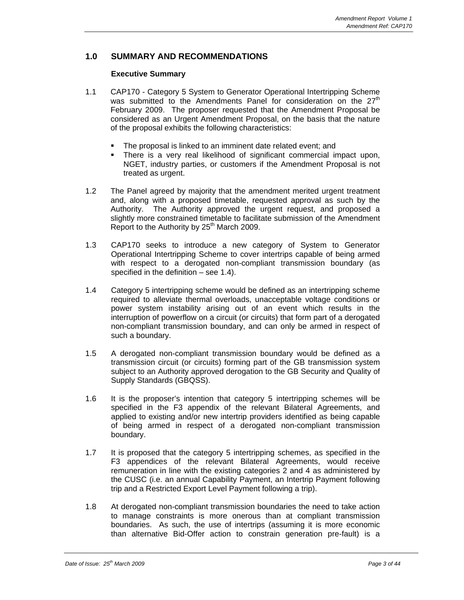#### **1.0 SUMMARY AND RECOMMENDATIONS**

#### **Executive Summary**

- 1.1 CAP170 Category 5 System to Generator Operational Intertripping Scheme was submitted to the Amendments Panel for consideration on the  $27<sup>th</sup>$ February 2009. The proposer requested that the Amendment Proposal be considered as an Urgent Amendment Proposal, on the basis that the nature of the proposal exhibits the following characteristics:
	- The proposal is linked to an imminent date related event; and
	- There is a very real likelihood of significant commercial impact upon, NGET, industry parties, or customers if the Amendment Proposal is not treated as urgent.
- 1.2 The Panel agreed by majority that the amendment merited urgent treatment and, along with a proposed timetable, requested approval as such by the Authority. The Authority approved the urgent request, and proposed a slightly more constrained timetable to facilitate submission of the Amendment Report to the Authority by  $25<sup>th</sup>$  March 2009.
- 1.3 CAP170 seeks to introduce a new category of System to Generator Operational Intertripping Scheme to cover intertrips capable of being armed with respect to a derogated non-compliant transmission boundary (as specified in the definition – see 1.4).
- 1.4 Category 5 intertripping scheme would be defined as an intertripping scheme required to alleviate thermal overloads, unacceptable voltage conditions or power system instability arising out of an event which results in the interruption of powerflow on a circuit (or circuits) that form part of a derogated non-compliant transmission boundary, and can only be armed in respect of such a boundary.
- 1.5 A derogated non-compliant transmission boundary would be defined as a transmission circuit (or circuits) forming part of the GB transmission system subject to an Authority approved derogation to the GB Security and Quality of Supply Standards (GBQSS).
- 1.6 It is the proposer's intention that category 5 intertripping schemes will be specified in the F3 appendix of the relevant Bilateral Agreements, and applied to existing and/or new intertrip providers identified as being capable of being armed in respect of a derogated non-compliant transmission boundary.
- 1.7 It is proposed that the category 5 intertripping schemes, as specified in the F3 appendices of the relevant Bilateral Agreements, would receive remuneration in line with the existing categories 2 and 4 as administered by the CUSC (i.e. an annual Capability Payment, an Intertrip Payment following trip and a Restricted Export Level Payment following a trip).
- 1.8 At derogated non-compliant transmission boundaries the need to take action to manage constraints is more onerous than at compliant transmission boundaries. As such, the use of intertrips (assuming it is more economic than alternative Bid-Offer action to constrain generation pre-fault) is a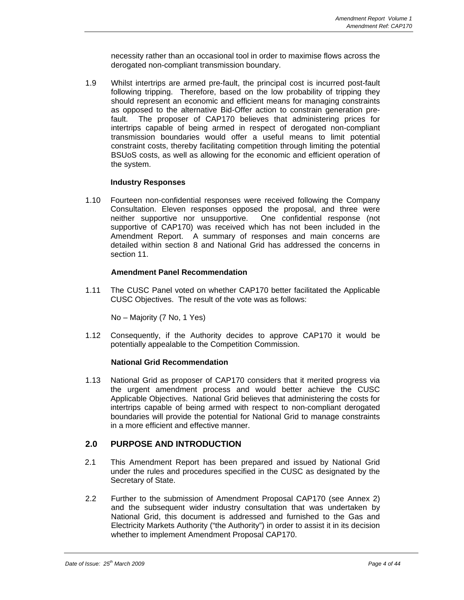necessity rather than an occasional tool in order to maximise flows across the derogated non-compliant transmission boundary.

1.9 Whilst intertrips are armed pre-fault, the principal cost is incurred post-fault following tripping. Therefore, based on the low probability of tripping they should represent an economic and efficient means for managing constraints as opposed to the alternative Bid-Offer action to constrain generation prefault. The proposer of CAP170 believes that administering prices for intertrips capable of being armed in respect of derogated non-compliant transmission boundaries would offer a useful means to limit potential constraint costs, thereby facilitating competition through limiting the potential BSUoS costs, as well as allowing for the economic and efficient operation of the system.

#### **Industry Responses**

1.10 Fourteen non-confidential responses were received following the Company Consultation. Eleven responses opposed the proposal, and three were neither supportive nor unsupportive. One confidential response (not supportive of CAP170) was received which has not been included in the Amendment Report. A summary of responses and main concerns are detailed within section 8 and National Grid has addressed the concerns in section 11.

#### **Amendment Panel Recommendation**

1.11 The CUSC Panel voted on whether CAP170 better facilitated the Applicable CUSC Objectives. The result of the vote was as follows:

No – Majority (7 No, 1 Yes)

1.12 Consequently, if the Authority decides to approve CAP170 it would be potentially appealable to the Competition Commission.

#### **National Grid Recommendation**

1.13 National Grid as proposer of CAP170 considers that it merited progress via the urgent amendment process and would better achieve the CUSC Applicable Objectives. National Grid believes that administering the costs for intertrips capable of being armed with respect to non-compliant derogated boundaries will provide the potential for National Grid to manage constraints in a more efficient and effective manner.

#### **2.0 PURPOSE AND INTRODUCTION**

- 2.1 This Amendment Report has been prepared and issued by National Grid under the rules and procedures specified in the CUSC as designated by the Secretary of State.
- 2.2 Further to the submission of Amendment Proposal CAP170 (see Annex 2) and the subsequent wider industry consultation that was undertaken by National Grid, this document is addressed and furnished to the Gas and Electricity Markets Authority ("the Authority") in order to assist it in its decision whether to implement Amendment Proposal CAP170.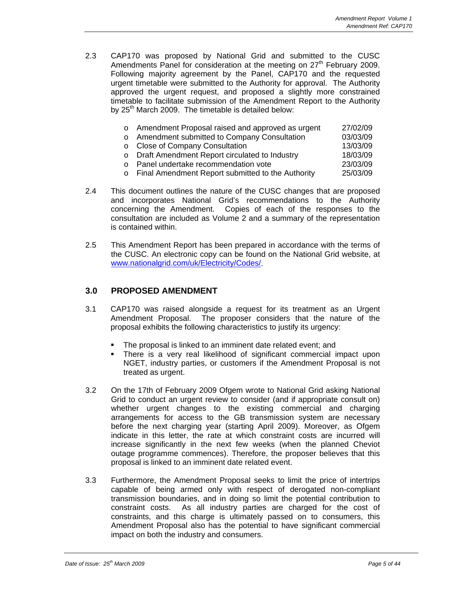2.3 CAP170 was proposed by National Grid and submitted to the CUSC Amendments Panel for consideration at the meeting on  $27<sup>th</sup>$  February 2009. Following majority agreement by the Panel, CAP170 and the requested urgent timetable were submitted to the Authority for approval. The Authority approved the urgent request, and proposed a slightly more constrained timetable to facilitate submission of the Amendment Report to the Authority by  $25<sup>th</sup>$  March 2009. The timetable is detailed below:

| o Amendment Proposal raised and approved as urgent  | 27/02/09 |
|-----------------------------------------------------|----------|
| o Amendment submitted to Company Consultation       | 03/03/09 |
| o Close of Company Consultation                     | 13/03/09 |
| o Draft Amendment Report circulated to Industry     | 18/03/09 |
| o Panel undertake recommendation vote               | 23/03/09 |
| o Final Amendment Report submitted to the Authority | 25/03/09 |

- 2.4 This document outlines the nature of the CUSC changes that are proposed and incorporates National Grid's recommendations to the Authority concerning the Amendment. Copies of each of the responses to the consultation are included as Volume 2 and a summary of the representation is contained within.
- 2.5 This Amendment Report has been prepared in accordance with the terms of the CUSC. An electronic copy can be found on the National Grid website, at www.nationalgrid.com/uk/Electricity/Codes/.

#### **3.0 PROPOSED AMENDMENT**

- 3.1 CAP170 was raised alongside a request for its treatment as an Urgent Amendment Proposal. The proposer considers that the nature of the proposal exhibits the following characteristics to justify its urgency:
	- The proposal is linked to an imminent date related event; and
	- There is a very real likelihood of significant commercial impact upon NGET, industry parties, or customers if the Amendment Proposal is not treated as urgent.
- 3.2 On the 17th of February 2009 Ofgem wrote to National Grid asking National Grid to conduct an urgent review to consider (and if appropriate consult on) whether urgent changes to the existing commercial and charging arrangements for access to the GB transmission system are necessary before the next charging year (starting April 2009). Moreover, as Ofgem indicate in this letter, the rate at which constraint costs are incurred will increase significantly in the next few weeks (when the planned Cheviot outage programme commences). Therefore, the proposer believes that this proposal is linked to an imminent date related event.
- 3.3 Furthermore, the Amendment Proposal seeks to limit the price of intertrips capable of being armed only with respect of derogated non-compliant transmission boundaries, and in doing so limit the potential contribution to constraint costs. As all industry parties are charged for the cost of constraints, and this charge is ultimately passed on to consumers, this Amendment Proposal also has the potential to have significant commercial impact on both the industry and consumers.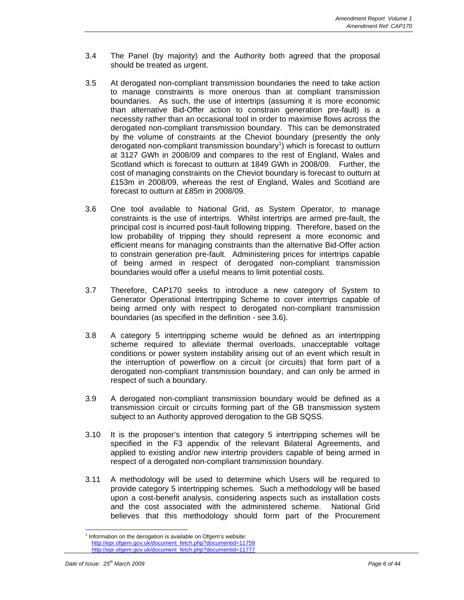- 3.4 The Panel (by majority) and the Authority both agreed that the proposal should be treated as urgent.
- 3.5 At derogated non-compliant transmission boundaries the need to take action to manage constraints is more onerous than at compliant transmission boundaries. As such, the use of intertrips (assuming it is more economic than alternative Bid-Offer action to constrain generation pre-fault) is a necessity rather than an occasional tool in order to maximise flows across the derogated non-compliant transmission boundary. This can be demonstrated by the volume of constraints at the Cheviot boundary (presently the only derogated non-compliant transmission boundary<sup>1</sup>) which is forecast to outturn at 3127 GWh in 2008/09 and compares to the rest of England, Wales and Scotland which is forecast to outturn at 1849 GWh in 2008/09. Further, the cost of managing constraints on the Cheviot boundary is forecast to outturn at £153m in 2008/09, whereas the rest of England, Wales and Scotland are forecast to outturn at £85m in 2008/09.
- 3.6 One tool available to National Grid, as System Operator, to manage constraints is the use of intertrips. Whilst intertrips are armed pre-fault, the principal cost is incurred post-fault following tripping. Therefore, based on the low probability of tripping they should represent a more economic and efficient means for managing constraints than the alternative Bid-Offer action to constrain generation pre-fault. Administering prices for intertrips capable of being armed in respect of derogated non-compliant transmission boundaries would offer a useful means to limit potential costs.
- 3.7 Therefore, CAP170 seeks to introduce a new category of System to Generator Operational Intertripping Scheme to cover intertrips capable of being armed only with respect to derogated non-compliant transmission boundaries (as specified in the definition - see 3.6).
- 3.8 A category 5 intertripping scheme would be defined as an intertripping scheme required to alleviate thermal overloads, unacceptable voltage conditions or power system instability arising out of an event which result in the interruption of powerflow on a circuit (or circuits) that form part of a derogated non-compliant transmission boundary, and can only be armed in respect of such a boundary.
- 3.9 A derogated non-compliant transmission boundary would be defined as a transmission circuit or circuits forming part of the GB transmission system subject to an Authority approved derogation to the GB SQSS.
- 3.10 It is the proposer's intention that category 5 intertripping schemes will be specified in the F3 appendix of the relevant Bilateral Agreements, and applied to existing and/or new intertrip providers capable of being armed in respect of a derogated non-compliant transmission boundary.
- 3.11 A methodology will be used to determine which Users will be required to provide category 5 intertripping schemes. Such a methodology will be based upon a cost-benefit analysis, considering aspects such as installation costs and the cost associated with the administered scheme. National Grid believes that this methodology should form part of the Procurement

 $\overline{a}$ 

 $1$  Information on the derogation is available on Ofgem's website: http://epr.ofgem.gov.uk/document\_fetch.php?documentid=11759 http://epr.ofgem.gov.uk/document\_fetch.php?documentid=11777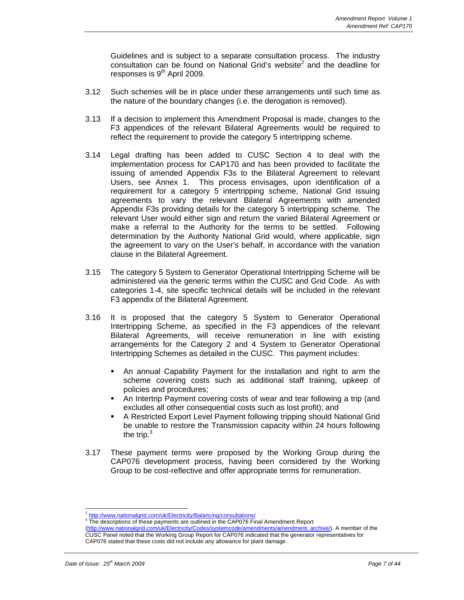Guidelines and is subject to a separate consultation process. The industry consultation can be found on National Grid's website<sup>2</sup> and the deadline for responses is  $9<sup>th</sup>$  April 2009.

- 3.12 Such schemes will be in place under these arrangements until such time as the nature of the boundary changes (i.e. the derogation is removed).
- 3.13 If a decision to implement this Amendment Proposal is made, changes to the F3 appendices of the relevant Bilateral Agreements would be required to reflect the requirement to provide the category 5 intertripping scheme.
- 3.14 Legal drafting has been added to CUSC Section 4 to deal with the implementation process for CAP170 and has been provided to facilitate the issuing of amended Appendix F3s to the Bilateral Agreement to relevant Users, see Annex 1. This process envisages, upon identification of a requirement for a category 5 intertripping scheme, National Grid issuing agreements to vary the relevant Bilateral Agreements with amended Appendix F3s providing details for the category 5 intertripping scheme. The relevant User would either sign and return the varied Bilateral Agreement or make a referral to the Authority for the terms to be settled. Following determination by the Authority National Grid would, where applicable, sign the agreement to vary on the User's behalf, in accordance with the variation clause in the Bilateral Agreement.
- 3.15 The category 5 System to Generator Operational Intertripping Scheme will be administered via the generic terms within the CUSC and Grid Code. As with categories 1-4, site specific technical details will be included in the relevant F3 appendix of the Bilateral Agreement.
- 3.16 It is proposed that the category 5 System to Generator Operational Intertripping Scheme, as specified in the F3 appendices of the relevant Bilateral Agreements, will receive remuneration in line with existing arrangements for the Category 2 and 4 System to Generator Operational Intertripping Schemes as detailed in the CUSC. This payment includes:
	- An annual Capability Payment for the installation and right to arm the scheme covering costs such as additional staff training, upkeep of policies and procedures;
	- An Intertrip Payment covering costs of wear and tear following a trip (and excludes all other consequential costs such as lost profit); and
	- A Restricted Export Level Payment following tripping should National Grid be unable to restore the Transmission capacity within 24 hours following the trip. $3$
- 3.17 These payment terms were proposed by the Working Group during the CAP076 development process, having been considered by the Working Group to be cost-reflective and offer appropriate terms for remuneration.

 $\overline{a}$ 

 $\frac{2 \text{ http://www.nationalgrid.com/uk/Electricity/Balancing/consultations/}}{3 \text{ The characteristic of these powers to be cylinder in the CABCTE}.}$ 

The descriptions of these payments are outlined in the CAP076 Final Amendment Report

<sup>(</sup>http://www.nationalgrid.com/uk/Electricity/Codes/systemcode/amendments/amendment\_archive/). A member of the CUSC Panel noted that the Working Group Report for CAP076 indicated that the generator representatives for CAP076 stated that these costs did not include any allowance for plant damage.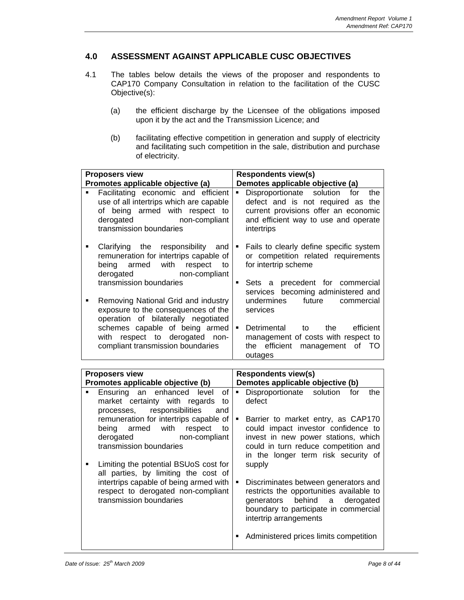#### **4.0 ASSESSMENT AGAINST APPLICABLE CUSC OBJECTIVES**

- 4.1 The tables below details the views of the proposer and respondents to CAP170 Company Consultation in relation to the facilitation of the CUSC Objective(s):
	- (a) the efficient discharge by the Licensee of the obligations imposed upon it by the act and the Transmission Licence; and
	- (b) facilitating effective competition in generation and supply of electricity and facilitating such competition in the sale, distribution and purchase of electricity.

| <b>Proposers view</b>                                                                                                                                                                                      | <b>Respondents view(s)</b>                                                                                                                                                                                      |  |  |  |  |
|------------------------------------------------------------------------------------------------------------------------------------------------------------------------------------------------------------|-----------------------------------------------------------------------------------------------------------------------------------------------------------------------------------------------------------------|--|--|--|--|
| Promotes applicable objective (a)                                                                                                                                                                          | Demotes applicable objective (a)                                                                                                                                                                                |  |  |  |  |
| Facilitating economic and efficient<br>use of all intertrips which are capable<br>of being armed with respect<br>to<br>non-compliant<br>derogated<br>transmission boundaries                               | Disproportionate<br>solution for<br>the<br>defect and is not required as the<br>current provisions offer an economic<br>and efficient way to use and operate<br>intertrips                                      |  |  |  |  |
| Clarifying<br>the<br>responsibility<br>$\blacksquare$<br>and<br>remuneration for intertrips capable of<br>armed<br>with<br>respect<br>being<br>to<br>derogated<br>non-compliant<br>transmission boundaries | $\blacksquare$<br>Fails to clearly define specific system<br>or competition related requirements<br>for intertrip scheme<br>$\blacksquare$<br>Sets a precedent for commercial                                   |  |  |  |  |
| Removing National Grid and industry<br>exposure to the consequences of the<br>operation of bilaterally negotiated                                                                                          | services becoming administered and<br>undermines<br>future<br>commercial<br>services                                                                                                                            |  |  |  |  |
| schemes capable of being armed<br>respect to<br>derogated<br>with<br>non-<br>compliant transmission boundaries                                                                                             | $\blacksquare$<br>Detrimental<br>the<br>efficient<br>to<br>management of costs with respect to<br>efficient management<br>of TO<br>the<br>outages                                                               |  |  |  |  |
|                                                                                                                                                                                                            |                                                                                                                                                                                                                 |  |  |  |  |
|                                                                                                                                                                                                            |                                                                                                                                                                                                                 |  |  |  |  |
| <b>Proposers view</b><br>Promotes applicable objective (b)                                                                                                                                                 | <b>Respondents view(s)</b><br>Demotes applicable objective (b)                                                                                                                                                  |  |  |  |  |
| Ensuring<br>enhanced<br>level<br>of<br>an<br>market certainty with regards<br>to<br>responsibilities<br>processes,<br>and                                                                                  | Disproportionate<br>solution<br>$\blacksquare$<br>for<br>the<br>defect                                                                                                                                          |  |  |  |  |
| remuneration for intertrips capable of<br>with<br>respect<br>being<br>armed<br>to<br>derogated<br>non-compliant<br>transmission boundaries                                                                 | $\blacksquare$<br>Barrier to market entry, as CAP170<br>could impact investor confidence to<br>invest in new power stations, which<br>could in turn reduce competition and                                      |  |  |  |  |
| Limiting the potential BSUoS cost for<br>$\blacksquare$<br>all parties, by limiting the cost of                                                                                                            | in the longer term risk security of<br>supply                                                                                                                                                                   |  |  |  |  |
| intertrips capable of being armed with<br>respect to derogated non-compliant<br>transmission boundaries                                                                                                    | $\blacksquare$<br>Discriminates between generators and<br>restricts the opportunities available to<br>behind<br>derogated<br>generators<br>a<br>boundary to participate in commercial<br>intertrip arrangements |  |  |  |  |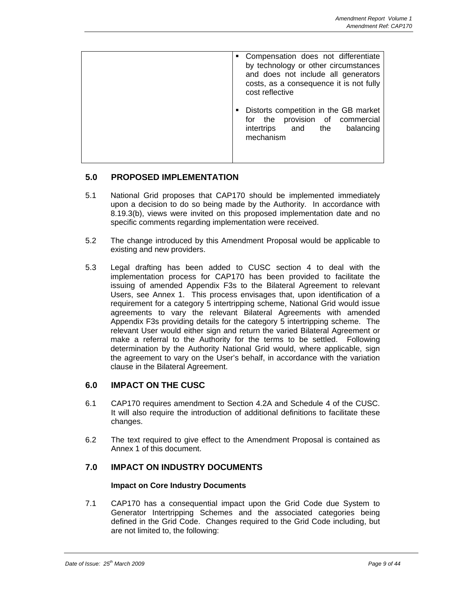| • Compensation does not differentiate<br>by technology or other circumstances<br>and does not include all generators<br>costs, as a consequence it is not fully<br>cost reflective |  |
|------------------------------------------------------------------------------------------------------------------------------------------------------------------------------------|--|
| Distorts competition in the GB market<br>provision of commercial<br>for the<br>balancing<br>intertrips and the<br>mechanism                                                        |  |

#### **5.0 PROPOSED IMPLEMENTATION**

- 5.1 National Grid proposes that CAP170 should be implemented immediately upon a decision to do so being made by the Authority. In accordance with 8.19.3(b), views were invited on this proposed implementation date and no specific comments regarding implementation were received.
- 5.2 The change introduced by this Amendment Proposal would be applicable to existing and new providers.
- 5.3 Legal drafting has been added to CUSC section 4 to deal with the implementation process for CAP170 has been provided to facilitate the issuing of amended Appendix F3s to the Bilateral Agreement to relevant Users, see Annex 1. This process envisages that, upon identification of a requirement for a category 5 intertripping scheme, National Grid would issue agreements to vary the relevant Bilateral Agreements with amended Appendix F3s providing details for the category 5 intertripping scheme. The relevant User would either sign and return the varied Bilateral Agreement or make a referral to the Authority for the terms to be settled. Following determination by the Authority National Grid would, where applicable, sign the agreement to vary on the User's behalf, in accordance with the variation clause in the Bilateral Agreement.

#### **6.0 IMPACT ON THE CUSC**

- 6.1 CAP170 requires amendment to Section 4.2A and Schedule 4 of the CUSC. It will also require the introduction of additional definitions to facilitate these changes.
- 6.2 The text required to give effect to the Amendment Proposal is contained as Annex 1 of this document.

#### **7.0 IMPACT ON INDUSTRY DOCUMENTS**

#### **Impact on Core Industry Documents**

7.1 CAP170 has a consequential impact upon the Grid Code due System to Generator Intertripping Schemes and the associated categories being defined in the Grid Code. Changes required to the Grid Code including, but are not limited to, the following: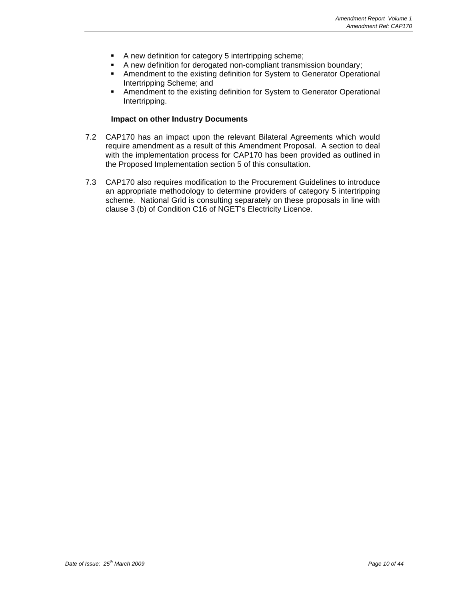- A new definition for category 5 intertripping scheme;
- A new definition for derogated non-compliant transmission boundary;
- **Amendment to the existing definition for System to Generator Operational** Intertripping Scheme; and
- **Amendment to the existing definition for System to Generator Operational** Intertripping.

#### **Impact on other Industry Documents**

- 7.2 CAP170 has an impact upon the relevant Bilateral Agreements which would require amendment as a result of this Amendment Proposal. A section to deal with the implementation process for CAP170 has been provided as outlined in the Proposed Implementation section 5 of this consultation.
- 7.3 CAP170 also requires modification to the Procurement Guidelines to introduce an appropriate methodology to determine providers of category 5 intertripping scheme. National Grid is consulting separately on these proposals in line with clause 3 (b) of Condition C16 of NGET's Electricity Licence.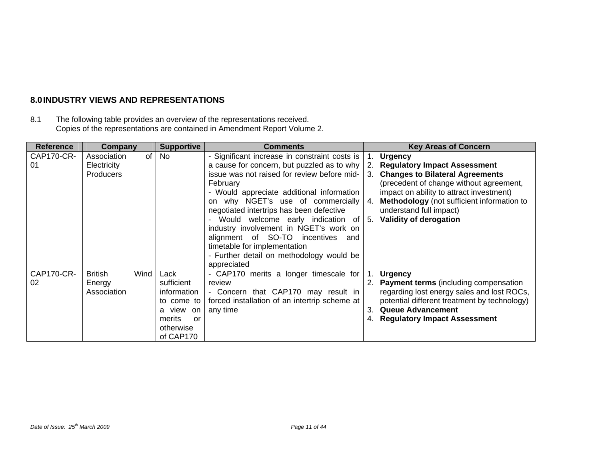## **8.0 INDUSTRY VIEWS AND REPRESENTATIONS**

8.1 The following table provides an overview of the representations received. Copies of the representations are contained in Amendment Report Volume 2.

| <b>Reference</b> | Company                                         | <b>Supportive</b>                                                                                      | <b>Comments</b>                                                                                                                                                                                                                                                                                                                                                                                                                                                                                           |                         | <b>Key Areas of Concern</b>                                                                                                                                                                                                                                                                  |
|------------------|-------------------------------------------------|--------------------------------------------------------------------------------------------------------|-----------------------------------------------------------------------------------------------------------------------------------------------------------------------------------------------------------------------------------------------------------------------------------------------------------------------------------------------------------------------------------------------------------------------------------------------------------------------------------------------------------|-------------------------|----------------------------------------------------------------------------------------------------------------------------------------------------------------------------------------------------------------------------------------------------------------------------------------------|
| CAP170-CR-<br>01 | Association<br>Electricity<br><b>Producers</b>  | of<br>No                                                                                               | - Significant increase in constraint costs is<br>a cause for concern, but puzzled as to why<br>issue was not raised for review before mid-<br>February<br>- Would appreciate additional information<br>why NGET's use of commercially<br>on<br>negotiated intertrips has been defective<br>Would welcome early indication of<br>industry involvement in NGET's work on<br>alignment of SO-TO incentives<br>and<br>timetable for implementation<br>- Further detail on methodology would be<br>appreciated | 2.<br>3.<br>4.<br>-5.   | 1. Urgency<br><b>Regulatory Impact Assessment</b><br><b>Changes to Bilateral Agreements</b><br>(precedent of change without agreement,<br>impact on ability to attract investment)<br>Methodology (not sufficient information to<br>understand full impact)<br><b>Validity of derogation</b> |
| CAP170-CR-<br>02 | <b>British</b><br>Wind<br>Energy<br>Association | Lack<br>sufficient<br>information<br>to come to<br>a view on<br>merits<br>or<br>otherwise<br>of CAP170 | - CAP170 merits a longer timescale for<br>review<br>- Concern that CAP170 may result in<br>forced installation of an intertrip scheme at<br>any time                                                                                                                                                                                                                                                                                                                                                      | $\blacksquare$ 1.<br>3. | <b>Urgency</b><br>2. Payment terms (including compensation<br>regarding lost energy sales and lost ROCs,<br>potential different treatment by technology)<br><b>Queue Advancement</b><br><b>Regulatory Impact Assessment</b>                                                                  |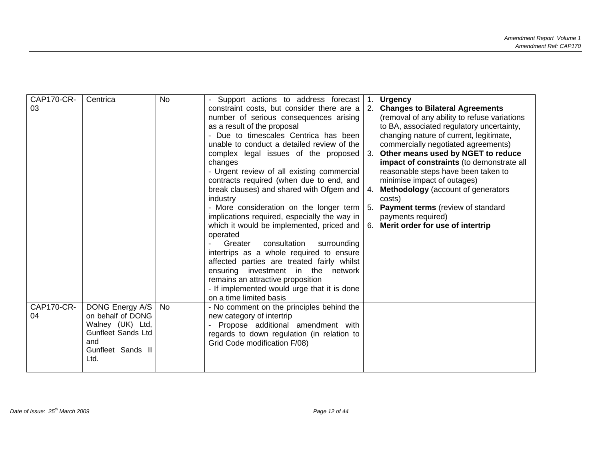| CAP170-CR-<br>03 | Centrica                                                                                                                  | <b>No</b> | Support actions to address forecast<br>constraint costs, but consider there are a<br>number of serious consequences arising<br>as a result of the proposal<br>- Due to timescales Centrica has been<br>unable to conduct a detailed review of the<br>complex legal issues of the proposed<br>changes<br>- Urgent review of all existing commercial<br>contracts required (when due to end, and<br>break clauses) and shared with Ofgem and<br>industry<br>- More consideration on the longer term<br>implications required, especially the way in<br>which it would be implemented, priced and<br>operated<br>consultation<br>Greater<br>surrounding<br>intertrips as a whole required to ensure<br>affected parties are treated fairly whilst<br>ensuring investment in the<br>network<br>remains an attractive proposition<br>- If implemented would urge that it is done<br>on a time limited basis | $\mathbf{1}$ .<br>4. | <b>Urgency</b><br><b>Changes to Bilateral Agreements</b><br>(removal of any ability to refuse variations<br>to BA, associated regulatory uncertainty,<br>changing nature of current, legitimate,<br>commercially negotiated agreements)<br>Other means used by NGET to reduce<br>impact of constraints (to demonstrate all<br>reasonable steps have been taken to<br>minimise impact of outages)<br>Methodology (account of generators<br>costs)<br><b>Payment terms</b> (review of standard<br>payments required)<br>6. Merit order for use of intertrip |
|------------------|---------------------------------------------------------------------------------------------------------------------------|-----------|--------------------------------------------------------------------------------------------------------------------------------------------------------------------------------------------------------------------------------------------------------------------------------------------------------------------------------------------------------------------------------------------------------------------------------------------------------------------------------------------------------------------------------------------------------------------------------------------------------------------------------------------------------------------------------------------------------------------------------------------------------------------------------------------------------------------------------------------------------------------------------------------------------|----------------------|-----------------------------------------------------------------------------------------------------------------------------------------------------------------------------------------------------------------------------------------------------------------------------------------------------------------------------------------------------------------------------------------------------------------------------------------------------------------------------------------------------------------------------------------------------------|
| CAP170-CR-<br>04 | DONG Energy A/S<br>on behalf of DONG<br>Walney (UK) Ltd,<br><b>Gunfleet Sands Ltd</b><br>and<br>Gunfleet Sands II<br>Ltd. | No.       | - No comment on the principles behind the<br>new category of intertrip<br>Propose additional amendment with<br>regards to down regulation (in relation to<br>Grid Code modification F/08)                                                                                                                                                                                                                                                                                                                                                                                                                                                                                                                                                                                                                                                                                                              |                      |                                                                                                                                                                                                                                                                                                                                                                                                                                                                                                                                                           |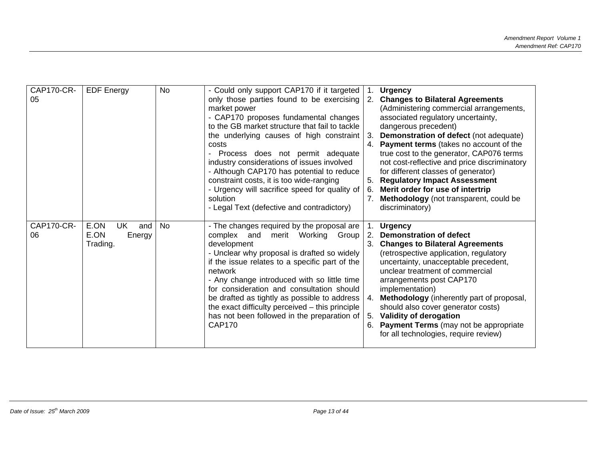| <b>CAP170-CR-</b><br>05 | <b>EDF Energy</b>                                      | No | - Could only support CAP170 if it targeted<br>only those parties found to be exercising<br>market power<br>- CAP170 proposes fundamental changes<br>to the GB market structure that fail to tackle<br>the underlying causes of high constraint<br>costs<br>Process does not permit adequate<br>industry considerations of issues involved<br>- Although CAP170 has potential to reduce<br>constraint costs, it is too wide-ranging<br>- Urgency will sacrifice speed for quality of<br>solution<br>- Legal Text (defective and contradictory) | $\mathbf{1}$ .<br>2.<br>-3.<br>5.<br>6. | <b>Urgency</b><br><b>Changes to Bilateral Agreements</b><br>(Administering commercial arrangements,<br>associated regulatory uncertainty,<br>dangerous precedent)<br>Demonstration of defect (not adequate)<br>4. Payment terms (takes no account of the<br>true cost to the generator, CAP076 terms<br>not cost-reflective and price discriminatory<br>for different classes of generator)<br><b>Regulatory Impact Assessment</b><br>Merit order for use of intertrip<br>Methodology (not transparent, could be<br>discriminatory) |
|-------------------------|--------------------------------------------------------|----|-----------------------------------------------------------------------------------------------------------------------------------------------------------------------------------------------------------------------------------------------------------------------------------------------------------------------------------------------------------------------------------------------------------------------------------------------------------------------------------------------------------------------------------------------|-----------------------------------------|-------------------------------------------------------------------------------------------------------------------------------------------------------------------------------------------------------------------------------------------------------------------------------------------------------------------------------------------------------------------------------------------------------------------------------------------------------------------------------------------------------------------------------------|
| <b>CAP170-CR-</b><br>06 | E.ON<br><b>UK</b><br>and<br>E.ON<br>Energy<br>Trading. | No | - The changes required by the proposal are<br>complex and<br>merit Working Group<br>development<br>- Unclear why proposal is drafted so widely<br>if the issue relates to a specific part of the<br>network<br>- Any change introduced with so little time<br>for consideration and consultation should<br>be drafted as tightly as possible to address<br>the exact difficulty perceived - this principle<br>has not been followed in the preparation of<br><b>CAP170</b>                                                                    | 2.<br>4.<br>5.<br>6.                    | <b>Urgency</b><br><b>Demonstration of defect</b><br>3. Changes to Bilateral Agreements<br>(retrospective application, regulatory<br>uncertainty, unacceptable precedent,<br>unclear treatment of commercial<br>arrangements post CAP170<br>implementation)<br>Methodology (inherently part of proposal,<br>should also cover generator costs)<br>Validity of derogation<br><b>Payment Terms</b> (may not be appropriate<br>for all technologies, require review)                                                                    |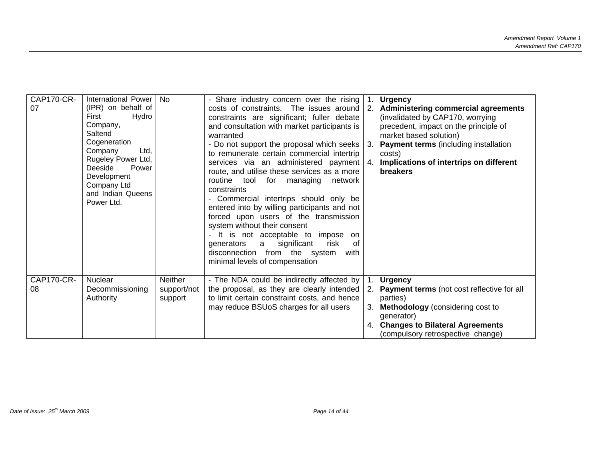| <b>CAP170-CR-</b> | International Power                                                                                                                                                                                       | No.            | - Share industry concern over the rising                                                                                                                                                                                                                                                                                                                                                                                                                                                                                                                                                                                                                                                                                               |     | <b>Urgency</b>                                                                                                                                                                                                                                                        |
|-------------------|-----------------------------------------------------------------------------------------------------------------------------------------------------------------------------------------------------------|----------------|----------------------------------------------------------------------------------------------------------------------------------------------------------------------------------------------------------------------------------------------------------------------------------------------------------------------------------------------------------------------------------------------------------------------------------------------------------------------------------------------------------------------------------------------------------------------------------------------------------------------------------------------------------------------------------------------------------------------------------------|-----|-----------------------------------------------------------------------------------------------------------------------------------------------------------------------------------------------------------------------------------------------------------------------|
| 07                | (IPR) on behalf of<br>First<br>Hydro<br>Company,<br>Saltend<br>Cogeneration<br>Company<br>Ltd.<br>Rugeley Power Ltd,<br>Deeside<br>Power<br>Development<br>Company Ltd<br>and Indian Queens<br>Power Ltd. |                | costs of constraints. The issues around<br>constraints are significant; fuller debate<br>and consultation with market participants is<br>warranted<br>- Do not support the proposal which seeks<br>to remunerate certain commercial intertrip<br>services via an administered payment<br>route, and utilise these services as a more<br>routine tool<br>for managing<br>network<br>constraints<br>- Commercial intertrips should only be<br>entered into by willing participants and not<br>forced upon users of the transmission<br>system without their consent<br>- It is not acceptable to impose<br>on<br>significant<br>risk<br>of<br>generators<br>a<br>disconnection from the system<br>with<br>minimal levels of compensation | -3. | 2. Administering commercial agreements<br>(invalidated by CAP170, worrying<br>precedent, impact on the principle of<br>market based solution)<br><b>Payment terms</b> (including installation<br>costs)<br>Implications of intertrips on different<br><b>breakers</b> |
| CAP170-CR-        | <b>Nuclear</b>                                                                                                                                                                                            | <b>Neither</b> | - The NDA could be indirectly affected by                                                                                                                                                                                                                                                                                                                                                                                                                                                                                                                                                                                                                                                                                              |     | <b>Urgency</b>                                                                                                                                                                                                                                                        |
| 08                | Decommissioning                                                                                                                                                                                           | support/not    | the proposal, as they are clearly intended                                                                                                                                                                                                                                                                                                                                                                                                                                                                                                                                                                                                                                                                                             |     | 2. Payment terms (not cost reflective for all                                                                                                                                                                                                                         |
|                   | Authority                                                                                                                                                                                                 | support        | to limit certain constraint costs, and hence                                                                                                                                                                                                                                                                                                                                                                                                                                                                                                                                                                                                                                                                                           |     | parties)                                                                                                                                                                                                                                                              |
|                   |                                                                                                                                                                                                           |                | may reduce BSUoS charges for all users                                                                                                                                                                                                                                                                                                                                                                                                                                                                                                                                                                                                                                                                                                 | 3.  | <b>Methodology</b> (considering cost to                                                                                                                                                                                                                               |
|                   |                                                                                                                                                                                                           |                |                                                                                                                                                                                                                                                                                                                                                                                                                                                                                                                                                                                                                                                                                                                                        |     | generator)                                                                                                                                                                                                                                                            |
|                   |                                                                                                                                                                                                           |                |                                                                                                                                                                                                                                                                                                                                                                                                                                                                                                                                                                                                                                                                                                                                        | 4.  | <b>Changes to Bilateral Agreements</b>                                                                                                                                                                                                                                |
|                   |                                                                                                                                                                                                           |                |                                                                                                                                                                                                                                                                                                                                                                                                                                                                                                                                                                                                                                                                                                                                        |     | (compulsory retrospective change)                                                                                                                                                                                                                                     |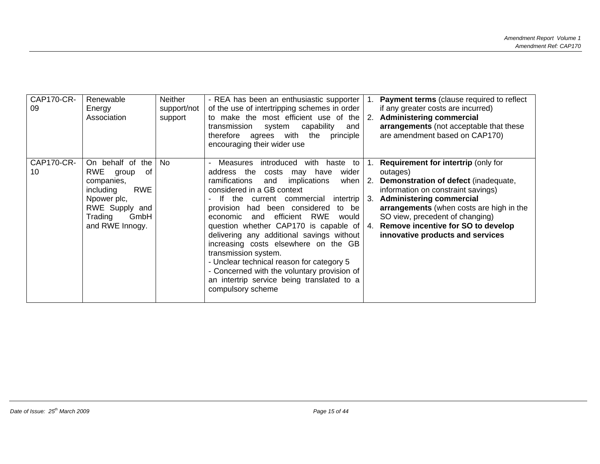| CAP170-CR-<br>Renewable<br>09<br>Energy<br>Association                       | Neither<br>support/not<br>support                                                                   | - REA has been an enthusiastic supporter<br>of the use of intertripping schemes in order<br>to make the most efficient use of the<br>capability<br>transmission<br>system<br>and<br>therefore agrees with the<br>principle<br>encouraging their wider use                                                                                                                                                                                                                                                                                                                                                                                        |                 | <b>Payment terms</b> (clause required to reflect<br>if any greater costs are incurred)<br><b>Administering commercial</b><br>arrangements (not acceptable that these<br>are amendment based on CAP170)                                                                                                                           |
|------------------------------------------------------------------------------|-----------------------------------------------------------------------------------------------------|--------------------------------------------------------------------------------------------------------------------------------------------------------------------------------------------------------------------------------------------------------------------------------------------------------------------------------------------------------------------------------------------------------------------------------------------------------------------------------------------------------------------------------------------------------------------------------------------------------------------------------------------------|-----------------|----------------------------------------------------------------------------------------------------------------------------------------------------------------------------------------------------------------------------------------------------------------------------------------------------------------------------------|
| CAP170-CR-<br>RWE<br>10<br>companies,<br>including<br>Npower plc,<br>Trading | On behalf of<br>No<br>the<br>0f<br>group<br><b>RWE</b><br>RWE Supply and<br>GmbH<br>and RWE Innogy. | Measures<br>introduced<br>with haste<br>to<br>address the<br>wider<br>costs<br>may have<br>implications<br>ramifications<br>and<br>when<br>considered in a GB context<br>If the current commercial<br>intertrip<br>had been considered<br>to be<br>provision<br>efficient<br><b>RWE</b><br>economic<br>and<br>would<br>question whether CAP170 is capable of $ 4 $ .<br>delivering any additional savings without<br>increasing costs elsewhere on the GB<br>transmission system.<br>- Unclear technical reason for category 5<br>- Concerned with the voluntary provision of<br>an intertrip service being translated to a<br>compulsory scheme | 11.<br>2.<br>3. | <b>Requirement for intertrip (only for</b><br>outages)<br>Demonstration of defect (inadequate,<br>information on constraint savings)<br><b>Administering commercial</b><br>arrangements (when costs are high in the<br>SO view, precedent of changing)<br>Remove incentive for SO to develop<br>innovative products and services |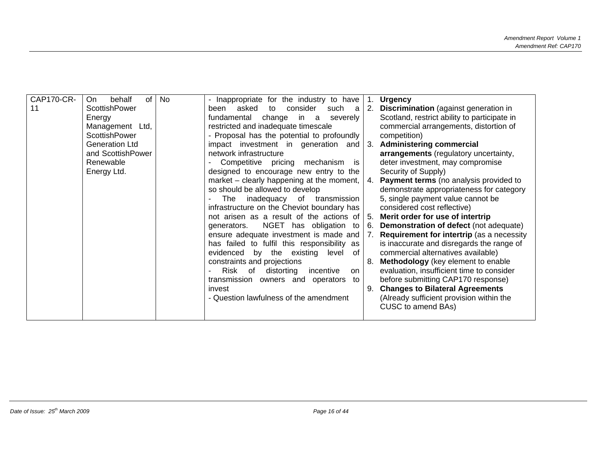| CAP170-CR- | behalf<br>of<br>On.   | No | - Inappropriate for the industry to have      |                | <b>Urgency</b>                                   |
|------------|-----------------------|----|-----------------------------------------------|----------------|--------------------------------------------------|
| 11         | <b>ScottishPower</b>  |    | asked<br>consider<br>been<br>to               | 2.             | <b>Discrimination</b> (against generation in     |
|            |                       |    | such a                                        |                |                                                  |
|            | Energy                |    | change<br>fundamental<br>in a<br>severely     |                | Scotland, restrict ability to participate in     |
|            | Management Ltd,       |    | restricted and inadequate timescale           |                | commercial arrangements, distortion of           |
|            | <b>ScottishPower</b>  |    | - Proposal has the potential to profoundly    |                | competition)                                     |
|            | <b>Generation Ltd</b> |    | impact investment in generation and           | -3.            | <b>Administering commercial</b>                  |
|            | and ScottishPower     |    | network infrastructure                        |                | arrangements (regulatory uncertainty,            |
|            | Renewable             |    | Competitive pricing<br>mechanism<br><b>is</b> |                | deter investment, may compromise                 |
|            | Energy Ltd.           |    | designed to encourage new entry to the        |                | Security of Supply)                              |
|            |                       |    | market – clearly happening at the moment,     | 4.             | <b>Payment terms</b> (no analysis provided to    |
|            |                       |    | so should be allowed to develop               |                | demonstrate appropriateness for category         |
|            |                       |    | The<br>inadequacy of<br>transmission          |                | 5, single payment value cannot be                |
|            |                       |    | infrastructure on the Cheviot boundary has    |                | considered cost reflective)                      |
|            |                       |    | not arisen as a result of the actions of      | 5.             | Merit order for use of intertrip                 |
|            |                       |    | NGET has obligation<br>generators.<br>to      | 6.             | <b>Demonstration of defect (not adequate)</b>    |
|            |                       |    | ensure adequate investment is made and        | 7 <sub>1</sub> | <b>Requirement for intertrip</b> (as a necessity |
|            |                       |    | has failed to fulfil this responsibility as   |                | is inaccurate and disregards the range of        |
|            |                       |    | evidenced by the existing<br>of<br>level      |                | commercial alternatives available)               |
|            |                       |    | constraints and projections                   | 8.             | Methodology (key element to enable               |
|            |                       |    | Risk of<br>distorting                         |                | evaluation, insufficient time to consider        |
|            |                       |    | incentive<br>on                               |                |                                                  |
|            |                       |    | transmission owners and operators<br>to       |                | before submitting CAP170 response)               |
|            |                       |    | invest                                        | 9.             | <b>Changes to Bilateral Agreements</b>           |
|            |                       |    | - Question lawfulness of the amendment        |                | (Already sufficient provision within the         |
|            |                       |    |                                               |                | CUSC to amend BAs)                               |
|            |                       |    |                                               |                |                                                  |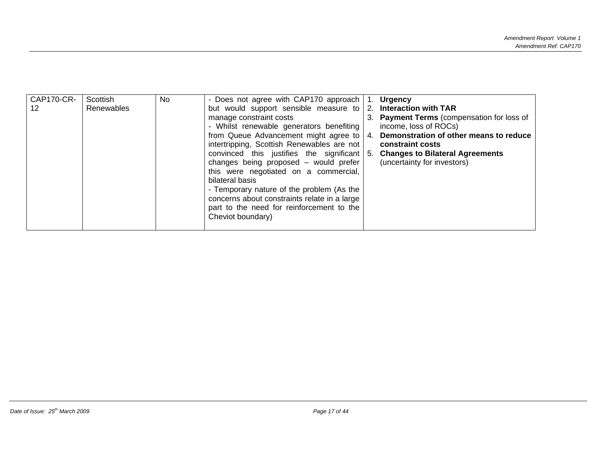| <b>CAP170-CR-</b> | Scottish   | <b>No</b> | - Does not agree with CAP170 approach        |    | 1. Urgency                                 |
|-------------------|------------|-----------|----------------------------------------------|----|--------------------------------------------|
| 12                | Renewables |           | but would support sensible measure to        |    | 2. Interaction with TAR                    |
|                   |            |           | manage constraint costs                      |    | 3. Payment Terms (compensation for loss of |
|                   |            |           | - Whilst renewable generators benefiting     |    | income, loss of ROCs)                      |
|                   |            |           | from Queue Advancement might agree to        | 4. | Demonstration of other means to reduce     |
|                   |            |           | intertripping, Scottish Renewables are not   |    | constraint costs                           |
|                   |            |           | convinced this justifies the significant 5.  |    | <b>Changes to Bilateral Agreements</b>     |
|                   |            |           | changes being proposed - would prefer        |    | (uncertainty for investors)                |
|                   |            |           | this were negotiated on a commercial,        |    |                                            |
|                   |            |           | bilateral basis                              |    |                                            |
|                   |            |           | - Temporary nature of the problem (As the    |    |                                            |
|                   |            |           | concerns about constraints relate in a large |    |                                            |
|                   |            |           | part to the need for reinforcement to the    |    |                                            |
|                   |            |           | Cheviot boundary)                            |    |                                            |
|                   |            |           |                                              |    |                                            |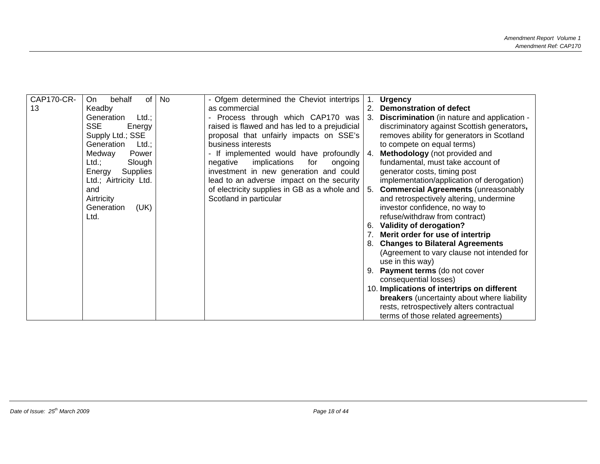| CAP170-CR- |                           |    |                                               |     |                                                    |
|------------|---------------------------|----|-----------------------------------------------|-----|----------------------------------------------------|
|            | of<br>behalf<br>On.       | No | - Ofgem determined the Cheviot intertrips     |     | <b>Urgency</b>                                     |
| 13         | Keadby                    |    | as commercial                                 | 2.  | <b>Demonstration of defect</b>                     |
|            | Generation<br>$Ltd.$ ;    |    | - Process through which CAP170 was            | 3.  | <b>Discrimination</b> (in nature and application - |
|            | <b>SSE</b><br>Energy      |    | raised is flawed and has led to a prejudicial |     | discriminatory against Scottish generators,        |
|            | Supply Ltd.; SSE          |    | proposal that unfairly impacts on SSE's       |     | removes ability for generators in Scotland         |
|            | Generation<br>$Ltd.$ ;    |    | business interests                            |     | to compete on equal terms)                         |
|            | Medway<br>Power           |    | - If implemented would have profoundly        | -4. | Methodology (not provided and                      |
|            | Ltd.;<br>Slough           |    | implications<br>for<br>negative<br>ongoing    |     | fundamental, must take account of                  |
|            | <b>Supplies</b><br>Energy |    | investment in new generation and could        |     | generator costs, timing post                       |
|            | Ltd.; Airtricity Ltd.     |    | lead to an adverse impact on the security     |     | implementation/application of derogation)          |
|            | and                       |    | of electricity supplies in GB as a whole and  | 5.  | <b>Commercial Agreements (unreasonably</b>         |
|            | Airtricity                |    | Scotland in particular                        |     | and retrospectively altering, undermine            |
|            | Generation                |    |                                               |     | investor confidence, no way to                     |
|            | (UK)                      |    |                                               |     |                                                    |
|            | Ltd.                      |    |                                               |     | refuse/withdraw from contract)                     |
|            |                           |    |                                               | 6.  | Validity of derogation?                            |
|            |                           |    |                                               |     | Merit order for use of intertrip                   |
|            |                           |    |                                               |     | 8. Changes to Bilateral Agreements                 |
|            |                           |    |                                               |     | (Agreement to vary clause not intended for         |
|            |                           |    |                                               |     | use in this way)                                   |
|            |                           |    |                                               |     | <b>Payment terms</b> (do not cover                 |
|            |                           |    |                                               |     | consequential losses)                              |
|            |                           |    |                                               |     | 10. Implications of intertrips on different        |
|            |                           |    |                                               |     | <b>breakers</b> (uncertainty about where liability |
|            |                           |    |                                               |     | rests, retrospectively alters contractual          |
|            |                           |    |                                               |     |                                                    |
|            |                           |    |                                               |     | terms of those related agreements)                 |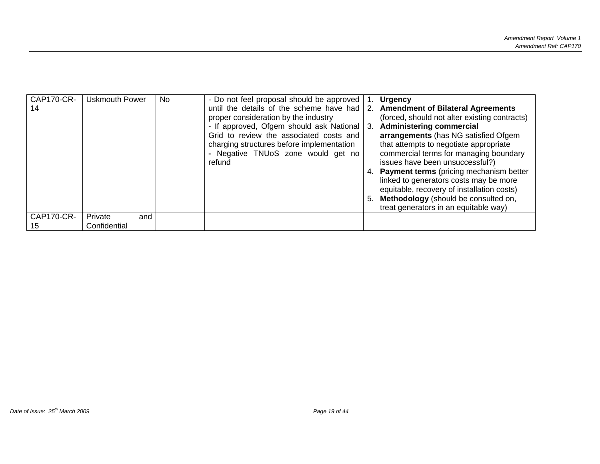| <b>CAP170-CR-</b><br>14 | <b>Uskmouth Power</b>          | No. | - Do not feel proposal should be approved<br>until the details of the scheme have had                                                | Ί.               | <b>Urgency</b><br>2. Amendment of Bilateral Agreements                                                                                                      |
|-------------------------|--------------------------------|-----|--------------------------------------------------------------------------------------------------------------------------------------|------------------|-------------------------------------------------------------------------------------------------------------------------------------------------------------|
|                         |                                |     | proper consideration by the industry                                                                                                 |                  | (forced, should not alter existing contracts)                                                                                                               |
|                         |                                |     | - If approved, Ofgem should ask National                                                                                             | $\overline{3}$ . | <b>Administering commercial</b>                                                                                                                             |
|                         |                                |     | Grid to review the associated costs and<br>charging structures before implementation<br>- Negative TNUoS zone would get no<br>refund |                  | arrangements (has NG satisfied Ofgem<br>that attempts to negotiate appropriate<br>commercial terms for managing boundary<br>issues have been unsuccessful?) |
|                         |                                |     |                                                                                                                                      |                  | 4. Payment terms (pricing mechanism better<br>linked to generators costs may be more<br>equitable, recovery of installation costs)                          |
|                         |                                |     |                                                                                                                                      |                  | 5. Methodology (should be consulted on,<br>treat generators in an equitable way)                                                                            |
| <b>CAP170-CR-</b><br>15 | Private<br>and<br>Confidential |     |                                                                                                                                      |                  |                                                                                                                                                             |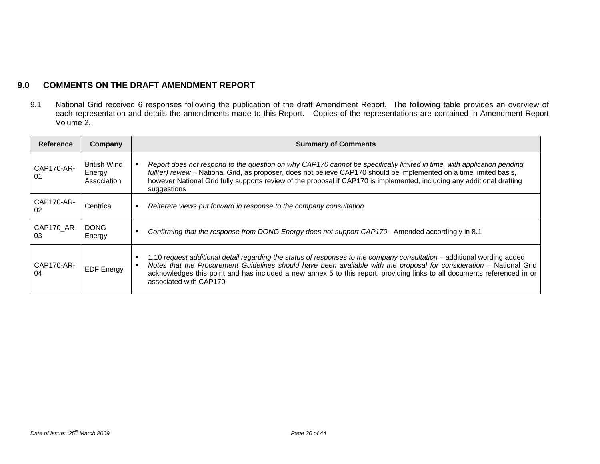## **9.0 COMMENTS ON THE DRAFT AMENDMENT REPORT**

9.1 National Grid received 6 responses following the publication of the draft Amendment Report. The following table provides an overview of each representation and details the amendments made to this Report. Copies of the representations are contained in Amendment Report Volume 2.

| <b>Reference</b> | Company                                      | <b>Summary of Comments</b>                                                                                                                                                                                                                                                                                                                                                                            |
|------------------|----------------------------------------------|-------------------------------------------------------------------------------------------------------------------------------------------------------------------------------------------------------------------------------------------------------------------------------------------------------------------------------------------------------------------------------------------------------|
| CAP170-AR-<br>01 | <b>British Wind</b><br>Energy<br>Association | Report does not respond to the question on why CAP170 cannot be specifically limited in time, with application pending<br>full(er) review - National Grid, as proposer, does not believe CAP170 should be implemented on a time limited basis,<br>however National Grid fully supports review of the proposal if CAP170 is implemented, including any additional drafting<br>suggestions              |
| CAP170-AR-<br>02 | Centrica                                     | Reiterate views put forward in response to the company consultation                                                                                                                                                                                                                                                                                                                                   |
| CAP170 AR-<br>03 | DONG.<br>Energy                              | Confirming that the response from DONG Energy does not support CAP170 - Amended accordingly in 8.1                                                                                                                                                                                                                                                                                                    |
| CAP170-AR-<br>04 | <b>EDF Energy</b>                            | 1.10 request additional detail regarding the status of responses to the company consultation – additional wording added<br>Notes that the Procurement Guidelines should have been available with the proposal for consideration - National Grid<br>acknowledges this point and has included a new annex 5 to this report, providing links to all documents referenced in or<br>associated with CAP170 |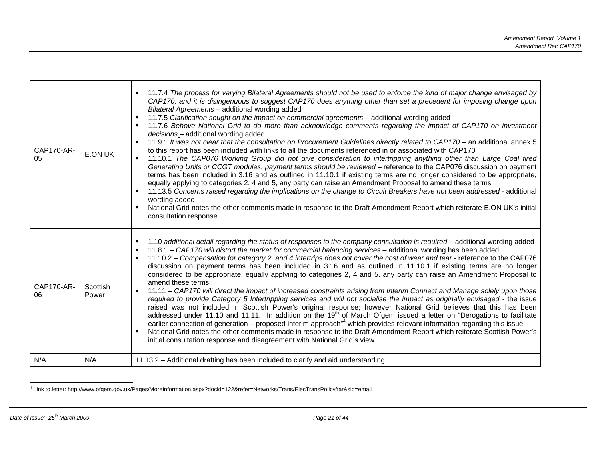| CAP170-AR-<br>05 | E.ON UK           | 11.7.4 The process for varying Bilateral Agreements should not be used to enforce the kind of major change envisaged by<br>CAP170, and it is disingenuous to suggest CAP170 does anything other than set a precedent for imposing change upon<br>Bilateral Agreements - additional wording added<br>11.7.5 Clarification sought on the impact on commercial agreements - additional wording added<br>11.7.6 Behove National Grid to do more than acknowledge comments regarding the impact of CAP170 on investment<br>decisions - additional wording added<br>11.9.1 It was not clear that the consultation on Procurement Guidelines directly related to CAP170 - an additional annex 5<br>to this report has been included with links to all the documents referenced in or associated with CAP170<br>11.10.1 The CAP076 Working Group did not give consideration to intertripping anything other than Large Coal fired<br>Generating Units or CCGT modules, payment terms should be reviewed - reference to the CAP076 discussion on payment<br>terms has been included in 3.16 and as outlined in 11.10.1 if existing terms are no longer considered to be appropriate,<br>equally applying to categories 2, 4 and 5, any party can raise an Amendment Proposal to amend these terms<br>11.13.5 Concerns raised regarding the implications on the change to Circuit Breakers have not been addressed - additional<br>wording added<br>National Grid notes the other comments made in response to the Draft Amendment Report which reiterate E.ON UK's initial<br>consultation response |
|------------------|-------------------|--------------------------------------------------------------------------------------------------------------------------------------------------------------------------------------------------------------------------------------------------------------------------------------------------------------------------------------------------------------------------------------------------------------------------------------------------------------------------------------------------------------------------------------------------------------------------------------------------------------------------------------------------------------------------------------------------------------------------------------------------------------------------------------------------------------------------------------------------------------------------------------------------------------------------------------------------------------------------------------------------------------------------------------------------------------------------------------------------------------------------------------------------------------------------------------------------------------------------------------------------------------------------------------------------------------------------------------------------------------------------------------------------------------------------------------------------------------------------------------------------------------------------------------------------------------------------------------------|
| CAP170-AR-<br>06 | Scottish<br>Power | 1.10 additional detail regarding the status of responses to the company consultation is required - additional wording added<br>11.8.1 - CAP170 will distort the market for commercial balancing services - additional wording has been added.<br>11.10.2 - Compensation for category 2 and 4 intertrips does not cover the cost of wear and tear - reference to the CAP076<br>discussion on payment terms has been included in 3.16 and as outlined in 11.10.1 if existing terms are no longer<br>considered to be appropriate, equally applying to categories 2, 4 and 5. any party can raise an Amendment Proposal to<br>amend these terms<br>11.11 - CAP170 will direct the impact of increased constraints arising from Interim Connect and Manage solely upon those<br>required to provide Category 5 Intertripping services and will not socialise the impact as originally envisaged - the issue<br>raised was not included in Scottish Power's original response; however National Grid believes that this has been<br>addressed under 11.10 and 11.11. In addition on the 19 <sup>th</sup> of March Ofgem issued a letter on "Derogations to facilitate<br>earlier connection of generation – proposed interim approach <sup>n4</sup> which provides relevant information regarding this issue<br>National Grid notes the other comments made in response to the Draft Amendment Report which reiterate Scottish Power's<br>$\blacksquare$<br>initial consultation response and disagreement with National Grid's view.                                                           |
| N/A              | N/A               | 11.13.2 - Additional drafting has been included to clarify and aid understanding.                                                                                                                                                                                                                                                                                                                                                                                                                                                                                                                                                                                                                                                                                                                                                                                                                                                                                                                                                                                                                                                                                                                                                                                                                                                                                                                                                                                                                                                                                                          |

4 Link to letter: http://www.ofgem.gov.uk/Pages/MoreInformation.aspx?docid=122&refer=Networks/Trans/ElecTransPolicy/tar&sid=email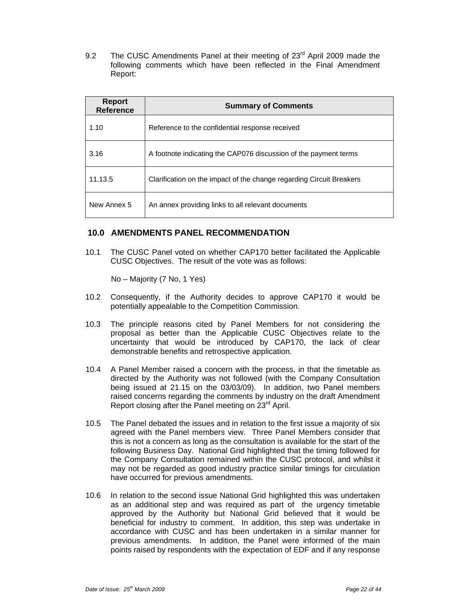9.2 The CUSC Amendments Panel at their meeting of 23<sup>rd</sup> April 2009 made the following comments which have been reflected in the Final Amendment Report:

| <b>Report</b><br><b>Reference</b> | <b>Summary of Comments</b>                                           |
|-----------------------------------|----------------------------------------------------------------------|
| 1.10                              | Reference to the confidential response received                      |
| 3.16                              | A footnote indicating the CAP076 discussion of the payment terms     |
| 11.13.5                           | Clarification on the impact of the change regarding Circuit Breakers |
| New Annex 5                       | An annex providing links to all relevant documents                   |

#### **10.0 AMENDMENTS PANEL RECOMMENDATION**

10.1 The CUSC Panel voted on whether CAP170 better facilitated the Applicable CUSC Objectives. The result of the vote was as follows:

No – Majority (7 No, 1 Yes)

- 10.2 Consequently, if the Authority decides to approve CAP170 it would be potentially appealable to the Competition Commission.
- 10.3 The principle reasons cited by Panel Members for not considering the proposal as better than the Applicable CUSC Objectives relate to the uncertainty that would be introduced by CAP170, the lack of clear demonstrable benefits and retrospective application.
- 10.4 A Panel Member raised a concern with the process, in that the timetable as directed by the Authority was not followed (with the Company Consultation being issued at 21.15 on the 03/03/09). In addition, two Panel members raised concerns regarding the comments by industry on the draft Amendment Report closing after the Panel meeting on 23<sup>rd</sup> April.
- 10.5 The Panel debated the issues and in relation to the first issue a majority of six agreed with the Panel members view. Three Panel Members consider that this is not a concern as long as the consultation is available for the start of the following Business Day. National Grid highlighted that the timing followed for the Company Consultation remained within the CUSC protocol, and whilst it may not be regarded as good industry practice similar timings for circulation have occurred for previous amendments.
- 10.6 In relation to the second issue National Grid highlighted this was undertaken as an additional step and was required as part of the urgency timetable approved by the Authority but National Grid believed that it would be beneficial for industry to comment. In addition, this step was undertake in accordance with CUSC and has been undertaken in a similar manner for previous amendments. In addition, the Panel were informed of the main points raised by respondents with the expectation of EDF and if any response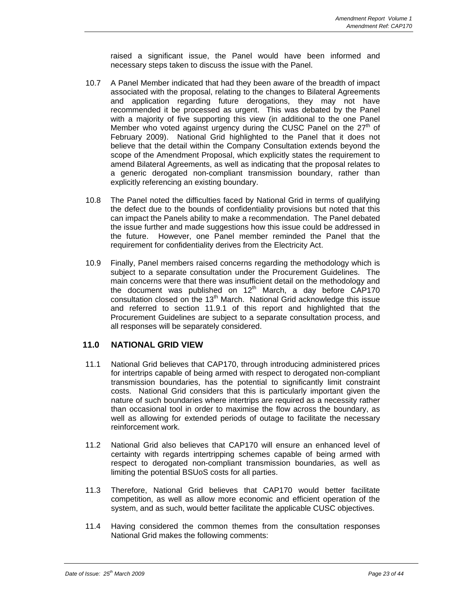raised a significant issue, the Panel would have been informed and necessary steps taken to discuss the issue with the Panel.

- 10.7 A Panel Member indicated that had they been aware of the breadth of impact associated with the proposal, relating to the changes to Bilateral Agreements and application regarding future derogations, they may not have recommended it be processed as urgent. This was debated by the Panel with a majority of five supporting this view (in additional to the one Panel Member who voted against urgency during the CUSC Panel on the  $27<sup>th</sup>$  of February 2009). National Grid highlighted to the Panel that it does not believe that the detail within the Company Consultation extends beyond the scope of the Amendment Proposal, which explicitly states the requirement to amend Bilateral Agreements, as well as indicating that the proposal relates to a generic derogated non-compliant transmission boundary, rather than explicitly referencing an existing boundary.
- 10.8 The Panel noted the difficulties faced by National Grid in terms of qualifying the defect due to the bounds of confidentiality provisions but noted that this can impact the Panels ability to make a recommendation. The Panel debated the issue further and made suggestions how this issue could be addressed in the future. However, one Panel member reminded the Panel that the requirement for confidentiality derives from the Electricity Act.
- 10.9 Finally, Panel members raised concerns regarding the methodology which is subject to a separate consultation under the Procurement Guidelines. The main concerns were that there was insufficient detail on the methodology and the document was published on  $12<sup>th</sup>$  March, a day before CAP170 consultation closed on the 13<sup>th</sup> March. National Grid acknowledge this issue and referred to section 11.9.1 of this report and highlighted that the Procurement Guidelines are subject to a separate consultation process, and all responses will be separately considered.

#### **11.0 NATIONAL GRID VIEW**

- 11.1 National Grid believes that CAP170, through introducing administered prices for intertrips capable of being armed with respect to derogated non-compliant transmission boundaries, has the potential to significantly limit constraint costs. National Grid considers that this is particularly important given the nature of such boundaries where intertrips are required as a necessity rather than occasional tool in order to maximise the flow across the boundary, as well as allowing for extended periods of outage to facilitate the necessary reinforcement work.
- 11.2 National Grid also believes that CAP170 will ensure an enhanced level of certainty with regards intertripping schemes capable of being armed with respect to derogated non-compliant transmission boundaries, as well as limiting the potential BSUoS costs for all parties.
- 11.3 Therefore, National Grid believes that CAP170 would better facilitate competition, as well as allow more economic and efficient operation of the system, and as such, would better facilitate the applicable CUSC objectives.
- 11.4 Having considered the common themes from the consultation responses National Grid makes the following comments: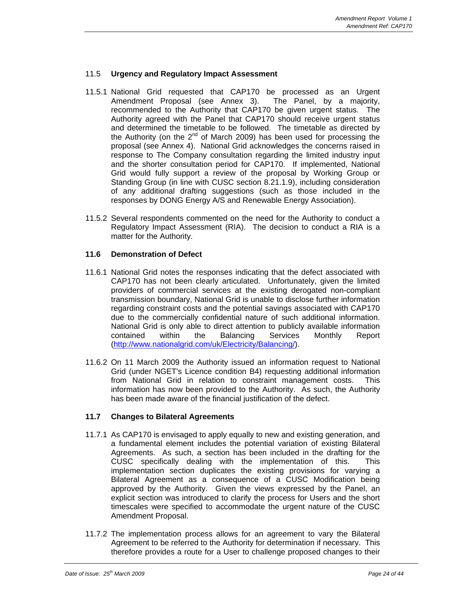#### 11.5 **Urgency and Regulatory Impact Assessment**

- 11.5.1 National Grid requested that CAP170 be processed as an Urgent Amendment Proposal (see Annex 3). The Panel, by a majority, recommended to the Authority that CAP170 be given urgent status. The Authority agreed with the Panel that CAP170 should receive urgent status and determined the timetable to be followed. The timetable as directed by the Authority (on the  $2^{nd}$  of March 2009) has been used for processing the proposal (see Annex 4). National Grid acknowledges the concerns raised in response to The Company consultation regarding the limited industry input and the shorter consultation period for CAP170. If implemented, National Grid would fully support a review of the proposal by Working Group or Standing Group (in line with CUSC section 8.21.1.9), including consideration of any additional drafting suggestions (such as those included in the responses by DONG Energy A/S and Renewable Energy Association).
- 11.5.2 Several respondents commented on the need for the Authority to conduct a Regulatory Impact Assessment (RIA). The decision to conduct a RIA is a matter for the Authority.

#### **11.6 Demonstration of Defect**

- 11.6.1 National Grid notes the responses indicating that the defect associated with CAP170 has not been clearly articulated. Unfortunately, given the limited providers of commercial services at the existing derogated non-compliant transmission boundary, National Grid is unable to disclose further information regarding constraint costs and the potential savings associated with CAP170 due to the commercially confidential nature of such additional information. National Grid is only able to direct attention to publicly available information contained within the Balancing Services Monthly Report (http://www.nationalgrid.com/uk/Electricity/Balancing/).
- 11.6.2 On 11 March 2009 the Authority issued an information request to National Grid (under NGET's Licence condition B4) requesting additional information from National Grid in relation to constraint management costs. This information has now been provided to the Authority. As such, the Authority has been made aware of the financial justification of the defect.

#### **11.7 Changes to Bilateral Agreements**

- 11.7.1 As CAP170 is envisaged to apply equally to new and existing generation, and a fundamental element includes the potential variation of existing Bilateral Agreements. As such, a section has been included in the drafting for the CUSC specifically dealing with the implementation of this. This implementation section duplicates the existing provisions for varying a Bilateral Agreement as a consequence of a CUSC Modification being approved by the Authority. Given the views expressed by the Panel, an explicit section was introduced to clarify the process for Users and the short timescales were specified to accommodate the urgent nature of the CUSC Amendment Proposal.
- 11.7.2 The implementation process allows for an agreement to vary the Bilateral Agreement to be referred to the Authority for determination if necessary. This therefore provides a route for a User to challenge proposed changes to their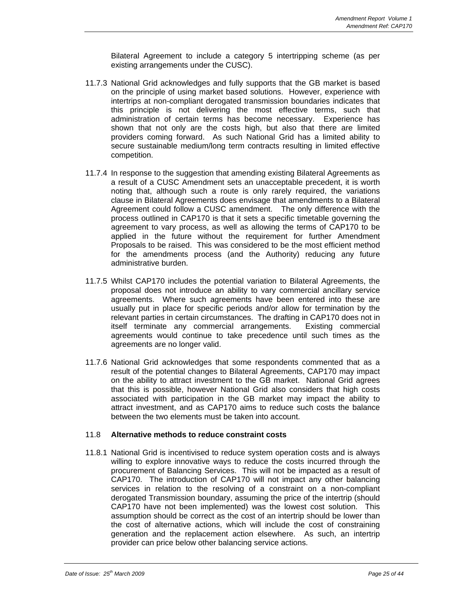Bilateral Agreement to include a category 5 intertripping scheme (as per existing arrangements under the CUSC).

- 11.7.3 National Grid acknowledges and fully supports that the GB market is based on the principle of using market based solutions. However, experience with intertrips at non-compliant derogated transmission boundaries indicates that this principle is not delivering the most effective terms, such that administration of certain terms has become necessary. Experience has shown that not only are the costs high, but also that there are limited providers coming forward. As such National Grid has a limited ability to secure sustainable medium/long term contracts resulting in limited effective competition.
- 11.7.4 In response to the suggestion that amending existing Bilateral Agreements as a result of a CUSC Amendment sets an unacceptable precedent, it is worth noting that, although such a route is only rarely required, the variations clause in Bilateral Agreements does envisage that amendments to a Bilateral Agreement could follow a CUSC amendment. The only difference with the process outlined in CAP170 is that it sets a specific timetable governing the agreement to vary process, as well as allowing the terms of CAP170 to be applied in the future without the requirement for further Amendment Proposals to be raised. This was considered to be the most efficient method for the amendments process (and the Authority) reducing any future administrative burden.
- 11.7.5 Whilst CAP170 includes the potential variation to Bilateral Agreements, the proposal does not introduce an ability to vary commercial ancillary service agreements. Where such agreements have been entered into these are usually put in place for specific periods and/or allow for termination by the relevant parties in certain circumstances. The drafting in CAP170 does not in itself terminate any commercial arrangements. Existing commercial agreements would continue to take precedence until such times as the agreements are no longer valid.
- 11.7.6 National Grid acknowledges that some respondents commented that as a result of the potential changes to Bilateral Agreements, CAP170 may impact on the ability to attract investment to the GB market. National Grid agrees that this is possible, however National Grid also considers that high costs associated with participation in the GB market may impact the ability to attract investment, and as CAP170 aims to reduce such costs the balance between the two elements must be taken into account.

#### 11.8 **Alternative methods to reduce constraint costs**

11.8.1 National Grid is incentivised to reduce system operation costs and is always willing to explore innovative ways to reduce the costs incurred through the procurement of Balancing Services. This will not be impacted as a result of CAP170. The introduction of CAP170 will not impact any other balancing services in relation to the resolving of a constraint on a non-compliant derogated Transmission boundary, assuming the price of the intertrip (should CAP170 have not been implemented) was the lowest cost solution. This assumption should be correct as the cost of an intertrip should be lower than the cost of alternative actions, which will include the cost of constraining generation and the replacement action elsewhere. As such, an intertrip provider can price below other balancing service actions.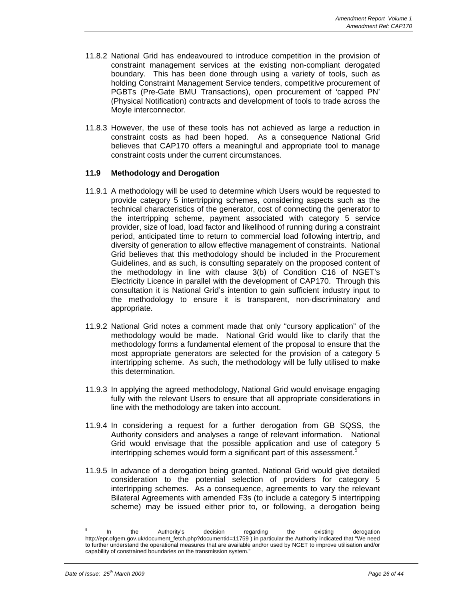- 11.8.2 National Grid has endeavoured to introduce competition in the provision of constraint management services at the existing non-compliant derogated boundary. This has been done through using a variety of tools, such as holding Constraint Management Service tenders, competitive procurement of PGBTs (Pre-Gate BMU Transactions), open procurement of 'capped PN' (Physical Notification) contracts and development of tools to trade across the Moyle interconnector.
- 11.8.3 However, the use of these tools has not achieved as large a reduction in constraint costs as had been hoped. As a consequence National Grid believes that CAP170 offers a meaningful and appropriate tool to manage constraint costs under the current circumstances.

#### **11.9 Methodology and Derogation**

- 11.9.1 A methodology will be used to determine which Users would be requested to provide category 5 intertripping schemes, considering aspects such as the technical characteristics of the generator, cost of connecting the generator to the intertripping scheme, payment associated with category 5 service provider, size of load, load factor and likelihood of running during a constraint period, anticipated time to return to commercial load following intertrip, and diversity of generation to allow effective management of constraints. National Grid believes that this methodology should be included in the Procurement Guidelines, and as such, is consulting separately on the proposed content of the methodology in line with clause 3(b) of Condition C16 of NGET's Electricity Licence in parallel with the development of CAP170. Through this consultation it is National Grid's intention to gain sufficient industry input to the methodology to ensure it is transparent, non-discriminatory and appropriate.
- 11.9.2 National Grid notes a comment made that only "cursory application" of the methodology would be made. National Grid would like to clarify that the methodology forms a fundamental element of the proposal to ensure that the most appropriate generators are selected for the provision of a category 5 intertripping scheme. As such, the methodology will be fully utilised to make this determination.
- 11.9.3 In applying the agreed methodology, National Grid would envisage engaging fully with the relevant Users to ensure that all appropriate considerations in line with the methodology are taken into account.
- 11.9.4 In considering a request for a further derogation from GB SQSS, the Authority considers and analyses a range of relevant information. National Grid would envisage that the possible application and use of category 5 intertripping schemes would form a significant part of this assessment.<sup>5</sup>
- 11.9.5 In advance of a derogation being granted, National Grid would give detailed consideration to the potential selection of providers for category 5 intertripping schemes. As a consequence, agreements to vary the relevant Bilateral Agreements with amended F3s (to include a category 5 intertripping scheme) may be issued either prior to, or following, a derogation being

l

<sup>5</sup> In the Authority's decision regarding the existing derogation http://epr.ofgem.gov.uk/document\_fetch.php?documentid=11759 ) in particular the Authority indicated that "We need to further understand the operational measures that are available and/or used by NGET to improve utilisation and/or capability of constrained boundaries on the transmission system."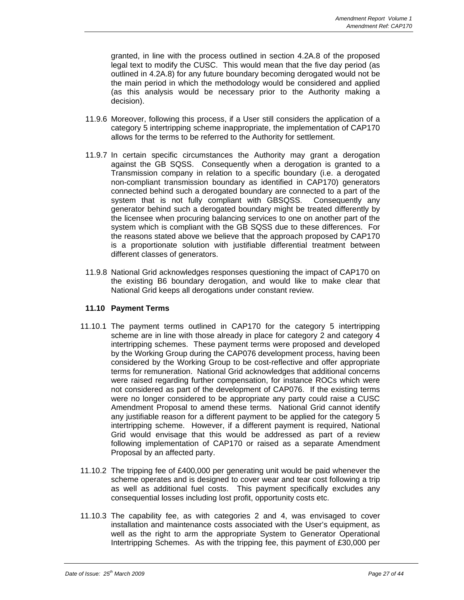granted, in line with the process outlined in section 4.2A.8 of the proposed legal text to modify the CUSC. This would mean that the five day period (as outlined in 4.2A.8) for any future boundary becoming derogated would not be the main period in which the methodology would be considered and applied (as this analysis would be necessary prior to the Authority making a decision).

- 11.9.6 Moreover, following this process, if a User still considers the application of a category 5 intertripping scheme inappropriate, the implementation of CAP170 allows for the terms to be referred to the Authority for settlement.
- 11.9.7 In certain specific circumstances the Authority may grant a derogation against the GB SQSS. Consequently when a derogation is granted to a Transmission company in relation to a specific boundary (i.e. a derogated non-compliant transmission boundary as identified in CAP170) generators connected behind such a derogated boundary are connected to a part of the system that is not fully compliant with GBSQSS. Consequently any generator behind such a derogated boundary might be treated differently by the licensee when procuring balancing services to one on another part of the system which is compliant with the GB SQSS due to these differences. For the reasons stated above we believe that the approach proposed by CAP170 is a proportionate solution with justifiable differential treatment between different classes of generators.
- 11.9.8 National Grid acknowledges responses questioning the impact of CAP170 on the existing B6 boundary derogation, and would like to make clear that National Grid keeps all derogations under constant review.

#### **11.10 Payment Terms**

- 11.10.1 The payment terms outlined in CAP170 for the category 5 intertripping scheme are in line with those already in place for category 2 and category 4 intertripping schemes. These payment terms were proposed and developed by the Working Group during the CAP076 development process, having been considered by the Working Group to be cost-reflective and offer appropriate terms for remuneration. National Grid acknowledges that additional concerns were raised regarding further compensation, for instance ROCs which were not considered as part of the development of CAP076. If the existing terms were no longer considered to be appropriate any party could raise a CUSC Amendment Proposal to amend these terms. National Grid cannot identify any justifiable reason for a different payment to be applied for the category 5 intertripping scheme. However, if a different payment is required, National Grid would envisage that this would be addressed as part of a review following implementation of CAP170 or raised as a separate Amendment Proposal by an affected party.
- 11.10.2 The tripping fee of £400,000 per generating unit would be paid whenever the scheme operates and is designed to cover wear and tear cost following a trip as well as additional fuel costs. This payment specifically excludes any consequential losses including lost profit, opportunity costs etc.
- 11.10.3 The capability fee, as with categories 2 and 4, was envisaged to cover installation and maintenance costs associated with the User's equipment, as well as the right to arm the appropriate System to Generator Operational Intertripping Schemes. As with the tripping fee, this payment of £30,000 per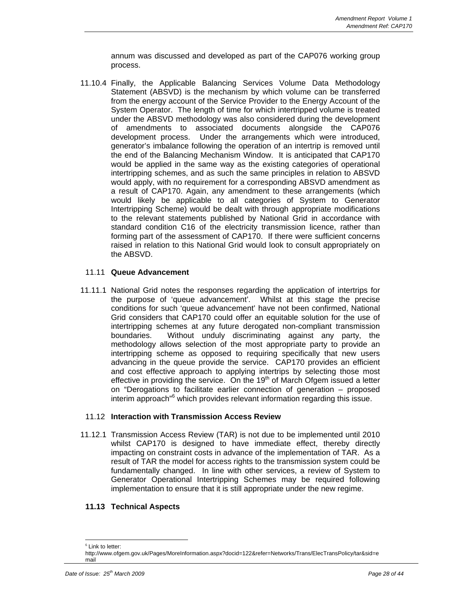annum was discussed and developed as part of the CAP076 working group process.

11.10.4 Finally, the Applicable Balancing Services Volume Data Methodology Statement (ABSVD) is the mechanism by which volume can be transferred from the energy account of the Service Provider to the Energy Account of the System Operator. The length of time for which intertripped volume is treated under the ABSVD methodology was also considered during the development of amendments to associated documents alongside the CAP076 development process. Under the arrangements which were introduced, generator's imbalance following the operation of an intertrip is removed until the end of the Balancing Mechanism Window. It is anticipated that CAP170 would be applied in the same way as the existing categories of operational intertripping schemes, and as such the same principles in relation to ABSVD would apply, with no requirement for a corresponding ABSVD amendment as a result of CAP170. Again, any amendment to these arrangements (which would likely be applicable to all categories of System to Generator Intertripping Scheme) would be dealt with through appropriate modifications to the relevant statements published by National Grid in accordance with standard condition C16 of the electricity transmission licence, rather than forming part of the assessment of CAP170. If there were sufficient concerns raised in relation to this National Grid would look to consult appropriately on the ABSVD.

#### 11.11 **Queue Advancement**

11.11.1 National Grid notes the responses regarding the application of intertrips for the purpose of 'queue advancement'. Whilst at this stage the precise conditions for such 'queue advancement' have not been confirmed, National Grid considers that CAP170 could offer an equitable solution for the use of intertripping schemes at any future derogated non-compliant transmission boundaries. Without unduly discriminating against any party, the methodology allows selection of the most appropriate party to provide an intertripping scheme as opposed to requiring specifically that new users advancing in the queue provide the service. CAP170 provides an efficient and cost effective approach to applying intertrips by selecting those most effective in providing the service. On the  $19<sup>th</sup>$  of March Ofgem issued a letter on "Derogations to facilitate earlier connection of generation – proposed interim approach<sup>"6</sup> which provides relevant information regarding this issue.

#### 11.12 **Interaction with Transmission Access Review**

11.12.1 Transmission Access Review (TAR) is not due to be implemented until 2010 whilst CAP170 is designed to have immediate effect, thereby directly impacting on constraint costs in advance of the implementation of TAR. As a result of TAR the model for access rights to the transmission system could be fundamentally changed. In line with other services, a review of System to Generator Operational Intertripping Schemes may be required following implementation to ensure that it is still appropriate under the new regime.

#### **11.13 Technical Aspects**

l

 $6$  Link to letter:

http://www.ofgem.gov.uk/Pages/MoreInformation.aspx?docid=122&refer=Networks/Trans/ElecTransPolicy/tar&sid=e mail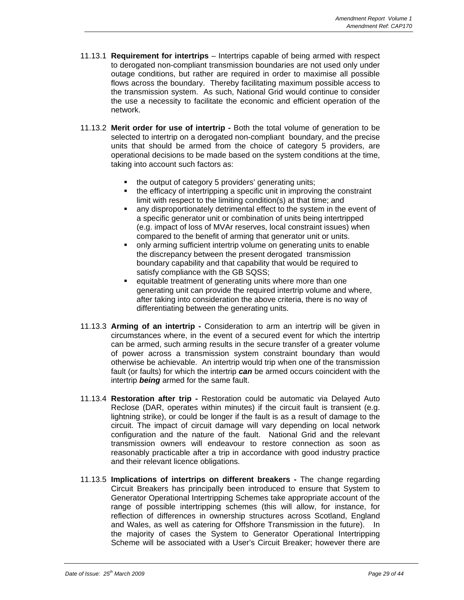- 11.13.1 **Requirement for intertrips**  Intertrips capable of being armed with respect to derogated non-compliant transmission boundaries are not used only under outage conditions, but rather are required in order to maximise all possible flows across the boundary. Thereby facilitating maximum possible access to the transmission system. As such, National Grid would continue to consider the use a necessity to facilitate the economic and efficient operation of the network.
- 11.13.2 **Merit order for use of intertrip** Both the total volume of generation to be selected to intertrip on a derogated non-compliant boundary, and the precise units that should be armed from the choice of category 5 providers, are operational decisions to be made based on the system conditions at the time, taking into account such factors as:
	- the output of category 5 providers' generating units;
	- the efficacy of intertripping a specific unit in improving the constraint limit with respect to the limiting condition(s) at that time; and
	- any disproportionately detrimental effect to the system in the event of a specific generator unit or combination of units being intertripped (e.g. impact of loss of MVAr reserves, local constraint issues) when compared to the benefit of arming that generator unit or units.
	- only arming sufficient intertrip volume on generating units to enable the discrepancy between the present derogated transmission boundary capability and that capability that would be required to satisfy compliance with the GB SQSS:
	- equitable treatment of generating units where more than one generating unit can provide the required intertrip volume and where, after taking into consideration the above criteria, there is no way of differentiating between the generating units.
- 11.13.3 **Arming of an intertrip** Consideration to arm an intertrip will be given in circumstances where, in the event of a secured event for which the intertrip can be armed, such arming results in the secure transfer of a greater volume of power across a transmission system constraint boundary than would otherwise be achievable. An intertrip would trip when one of the transmission fault (or faults) for which the intertrip *can* be armed occurs coincident with the intertrip *being* armed for the same fault.
- 11.13.4 **Restoration after trip** Restoration could be automatic via Delayed Auto Reclose (DAR, operates within minutes) if the circuit fault is transient (e.g. lightning strike), or could be longer if the fault is as a result of damage to the circuit. The impact of circuit damage will vary depending on local network configuration and the nature of the fault. National Grid and the relevant transmission owners will endeavour to restore connection as soon as reasonably practicable after a trip in accordance with good industry practice and their relevant licence obligations.
- 11.13.5 **Implications of intertrips on different breakers** The change regarding Circuit Breakers has principally been introduced to ensure that System to Generator Operational Intertripping Schemes take appropriate account of the range of possible intertripping schemes (this will allow, for instance, for reflection of differences in ownership structures across Scotland, England and Wales, as well as catering for Offshore Transmission in the future). In the majority of cases the System to Generator Operational Intertripping Scheme will be associated with a User's Circuit Breaker; however there are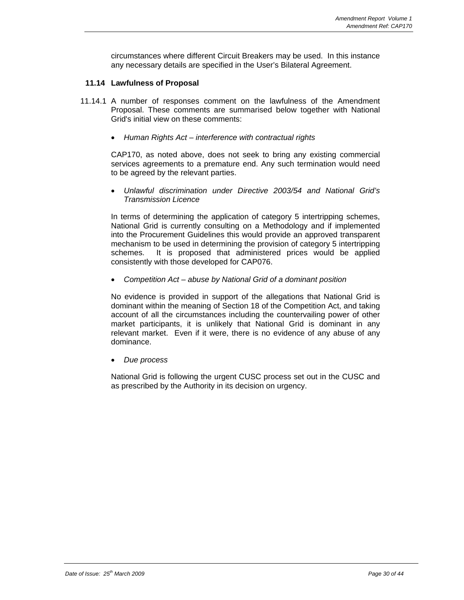circumstances where different Circuit Breakers may be used. In this instance any necessary details are specified in the User's Bilateral Agreement.

#### **11.14 Lawfulness of Proposal**

- 11.14.1 A number of responses comment on the lawfulness of the Amendment Proposal. These comments are summarised below together with National Grid's initial view on these comments:
	- *Human Rights Act interference with contractual rights*

CAP170, as noted above, does not seek to bring any existing commercial services agreements to a premature end. Any such termination would need to be agreed by the relevant parties.

• *Unlawful discrimination under Directive 2003/54 and National Grid's Transmission Licence* 

In terms of determining the application of category 5 intertripping schemes, National Grid is currently consulting on a Methodology and if implemented into the Procurement Guidelines this would provide an approved transparent mechanism to be used in determining the provision of category 5 intertripping schemes. It is proposed that administered prices would be applied consistently with those developed for CAP076.

• *Competition Act – abuse by National Grid of a dominant position* 

No evidence is provided in support of the allegations that National Grid is dominant within the meaning of Section 18 of the Competition Act, and taking account of all the circumstances including the countervailing power of other market participants, it is unlikely that National Grid is dominant in any relevant market. Even if it were, there is no evidence of any abuse of any dominance.

• *Due process* 

National Grid is following the urgent CUSC process set out in the CUSC and as prescribed by the Authority in its decision on urgency.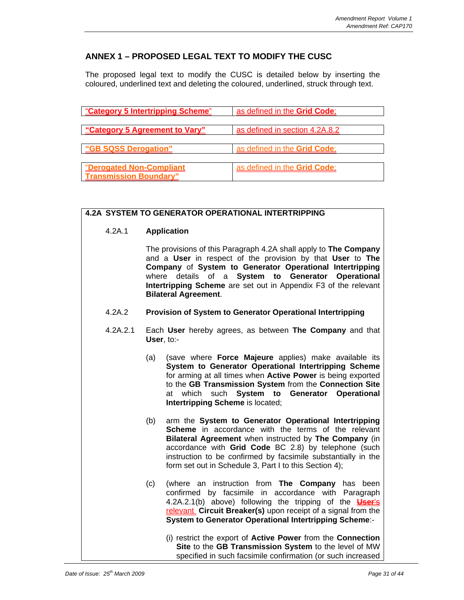## **ANNEX 1 – PROPOSED LEGAL TEXT TO MODIFY THE CUSC**

The proposed legal text to modify the CUSC is detailed below by inserting the coloured, underlined text and deleting the coloured, underlined, struck through text.

| "Category 5 Intertripping Scheme" | as defined in the Grid Code;   |
|-----------------------------------|--------------------------------|
|                                   |                                |
| "Category 5 Agreement to Vary"    | as defined in section 4.2A.8.2 |
| "GB SQSS Derogation"              | as defined in the Grid Code:   |
|                                   |                                |
| "Derogated Non-Compliant          | as defined in the Grid Code;   |
| <b>Transmission Boundary"</b>     |                                |

#### **4.2A SYSTEM TO GENERATOR OPERATIONAL INTERTRIPPING**

4.2A.1 **Application**

|                             | The provisions of this Paragraph 4.2A shall apply to <b>The Company</b><br>and a User in respect of the provision by that User to The<br>Company of System to Generator Operational Intertripping |  |  |  |
|-----------------------------|---------------------------------------------------------------------------------------------------------------------------------------------------------------------------------------------------|--|--|--|
|                             | where details of a System to Generator Operational                                                                                                                                                |  |  |  |
| <b>Bilateral Agreement.</b> | Intertripping Scheme are set out in Appendix F3 of the relevant                                                                                                                                   |  |  |  |

- 4.2A.2 **Provision of System to Generator Operational Intertripping**
- 4.2A.2.1 Each **User** hereby agrees, as between **The Company** and that **User**, to:-
	- (a) (save where **Force Majeure** applies) make available its **System to Generator Operational Intertripping Scheme** for arming at all times when **Active Power** is being exported to the **GB Transmission System** from the **Connection Site**  at which such **System to Generator Operational Intertripping Scheme** is located;
	- (b) arm the **System to Generator Operational Intertripping Scheme** in accordance with the terms of the relevant **Bilateral Agreement** when instructed by **The Company** (in accordance with **Grid Code** BC 2.8) by telephone (such instruction to be confirmed by facsimile substantially in the form set out in Schedule 3, Part I to this Section 4);
	- (c) (where an instruction from **The Company** has been confirmed by facsimile in accordance with Paragraph 4.2A.2.1(b) above) following the tripping of the **User**'s relevant **Circuit Breaker(s)** upon receipt of a signal from the **System to Generator Operational Intertripping Scheme**:-
		- (i) restrict the export of **Active Power** from the **Connection Site** to the **GB Transmission System** to the level of MW specified in such facsimile confirmation (or such increased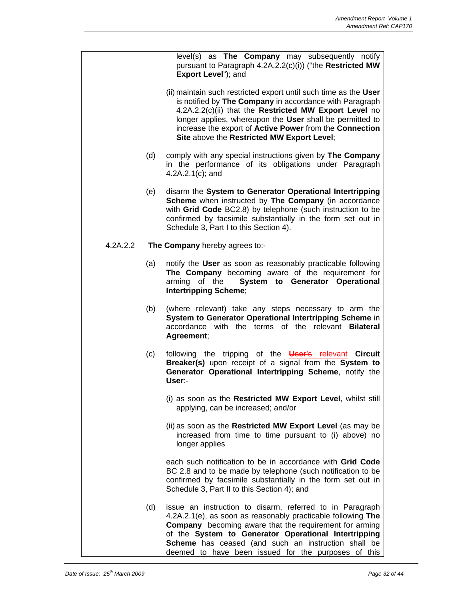level(s) as **The Company** may subsequently notify pursuant to Paragraph 4.2A.2.2(c)(i)) ("the **Restricted MW Export Level**"); and

- (ii) maintain such restricted export until such time as the **User**  is notified by **The Company** in accordance with Paragraph 4.2A.2.2(c)(ii) that the **Restricted MW Export Level** no longer applies, whereupon the **User** shall be permitted to increase the export of **Active Power** from the **Connection Site** above the **Restricted MW Export Level**;
- (d) comply with any special instructions given by **The Company** in the performance of its obligations under Paragraph 4.2A.2.1(c); and
- (e) disarm the **System to Generator Operational Intertripping Scheme** when instructed by **The Company** (in accordance with **Grid Code** BC2.8) by telephone (such instruction to be confirmed by facsimile substantially in the form set out in Schedule 3, Part I to this Section 4).
- 4.2A.2.2 **The Company** hereby agrees to:-
	- (a) notify the **User** as soon as reasonably practicable following **The Company** becoming aware of the requirement for arming of the **System to Generator Operational Intertripping Scheme**;
	- (b) (where relevant) take any steps necessary to arm the **System to Generator Operational Intertripping Scheme** in accordance with the terms of the relevant **Bilateral Agreement**;
	- (c) following the tripping of the **User**'s relevant **Circuit Breaker(s)** upon receipt of a signal from the **System to Generator Operational Intertripping Scheme**, notify the **User**:-
		- (i) as soon as the **Restricted MW Export Level**, whilst still applying, can be increased; and/or
		- (ii) as soon as the **Restricted MW Export Level** (as may be increased from time to time pursuant to (i) above) no longer applies

 each such notification to be in accordance with **Grid Code**  BC 2.8 and to be made by telephone (such notification to be confirmed by facsimile substantially in the form set out in Schedule 3, Part II to this Section 4); and

(d) issue an instruction to disarm, referred to in Paragraph 4.2A.2.1(e), as soon as reasonably practicable following **The Company** becoming aware that the requirement for arming of the **System to Generator Operational Intertripping Scheme** has ceased (and such an instruction shall be deemed to have been issued for the purposes of this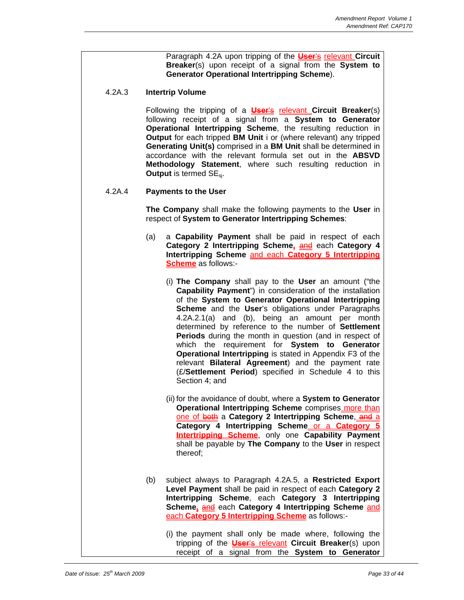Paragraph 4.2A upon tripping of the **User**'s relevant **Circuit Breaker**(s) upon receipt of a signal from the **System to Generator Operational Intertripping Scheme**).

#### 4.2A.3 **Intertrip Volume**

Following the tripping of a **User**'s relevant **Circuit Breaker**(s) following receipt of a signal from a **System to Generator Operational Intertripping Scheme**, the resulting reduction in **Output** for each tripped **BM Unit** i or (where relevant) any tripped **Generating Unit(s)** comprised in a **BM Unit** shall be determined in accordance with the relevant formula set out in the **ABSVD Methodology Statement**, where such resulting reduction in **Output** is termed SE<sub>si</sub>.

#### 4.2A.4 **Payments to the User**

**The Company** shall make the following payments to the **User** in respect of **System to Generator Intertripping Schemes**:

- (a) a **Capability Payment** shall be paid in respect of each **Category 2 Intertripping Scheme, and each Category 4 Intertripping Scheme** and each **Category 5 Intertripping Scheme** as follows:-
	- (i) **The Company** shall pay to the **User** an amount ("the **Capability Payment**") in consideration of the installation of the **System to Generator Operational Intertripping Scheme** and the **User**'s obligations under Paragraphs 4.2A.2.1(a) and (b), being an amount per month determined by reference to the number of **Settlement Periods** during the month in question (and in respect of which the requirement for **System to Generator Operational Intertripping** is stated in Appendix F3 of the relevant **Bilateral Agreement**) and the payment rate (£/**Settlement Period**) specified in Schedule 4 to this Section 4; and
	- (ii) for the avoidance of doubt, where a **System to Generator Operational Intertripping Scheme** comprises more than one of both a Category 2 Intertripping Scheme, and a **Category 4 Intertripping Scheme** or a **Category 5 Intertripping Scheme**, only one **Capability Payment** shall be payable by **The Company** to the **User** in respect thereof;
- (b) subject always to Paragraph 4.2A.5, a **Restricted Export Level Payment** shall be paid in respect of each **Category 2 Intertripping Scheme**, each **Category 3 Intertripping Scheme,** and each **Category 4 Intertripping Scheme** and each **Category 5 Intertripping Scheme** as follows:-
	- (i) the payment shall only be made where, following the tripping of the **User**'s relevant **Circuit Breaker**(s) upon receipt of a signal from the **System to Generator**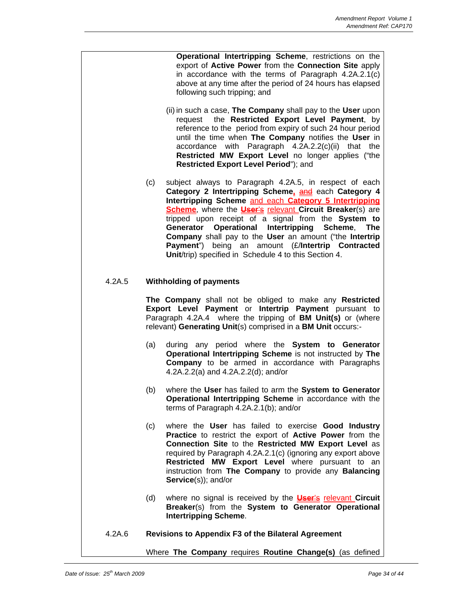**Operational Intertripping Scheme**, restrictions on the export of **Active Power** from the **Connection Site** apply in accordance with the terms of Paragraph 4.2A.2.1(c) above at any time after the period of 24 hours has elapsed following such tripping; and

- (ii) in such a case, **The Company** shall pay to the **User** upon request the **Restricted Export Level Payment**, by reference to the period from expiry of such 24 hour period until the time when **The Company** notifies the **User** in accordance with Paragraph 4.2A.2.2(c)(ii) that the **Restricted MW Export Level** no longer applies ("the **Restricted Export Level Period**"); and
- (c) subject always to Paragraph 4.2A.5, in respect of each **Category 2 Intertripping Scheme, and each Category 4 Intertripping Scheme** and each **Category 5 Intertripping Scheme**, where the **User's** relevant **Circuit Breaker**(s) are tripped upon receipt of a signal from the **System to Generator Operational Intertripping Scheme**, **The Company** shall pay to the **User** an amount ("the **Intertrip Payment**") being an amount (£/**Intertrip Contracted Unit**/trip) specified in Schedule 4 to this Section 4.

#### 4.2A.5 **Withholding of payments**

**The Company** shall not be obliged to make any **Restricted Export Level Payment** or **Intertrip Payment** pursuant to Paragraph 4.2A.4 where the tripping of **BM Unit(s)** or (where relevant) **Generating Unit**(s) comprised in a **BM Unit** occurs:-

- (a) during any period where the **System to Generator Operational Intertripping Scheme** is not instructed by **The Company** to be armed in accordance with Paragraphs 4.2A.2.2(a) and 4.2A.2.2(d); and/or
- (b) where the **User** has failed to arm the **System to Generator Operational Intertripping Scheme** in accordance with the terms of Paragraph 4.2A.2.1(b); and/or
- (c) where the **User** has failed to exercise **Good Industry Practice** to restrict the export of **Active Power** from the **Connection Site** to the **Restricted MW Export Level** as required by Paragraph 4.2A.2.1(c) (ignoring any export above **Restricted MW Export Level** where pursuant to an instruction from **The Company** to provide any **Balancing Service**(s)); and/or
- (d) where no signal is received by the **User**'s relevant **Circuit Breaker**(s) from the **System to Generator Operational Intertripping Scheme**.
- 4.2A.6 **Revisions to Appendix F3 of the Bilateral Agreement**

Where **The Company** requires **Routine Change(s)** (as defined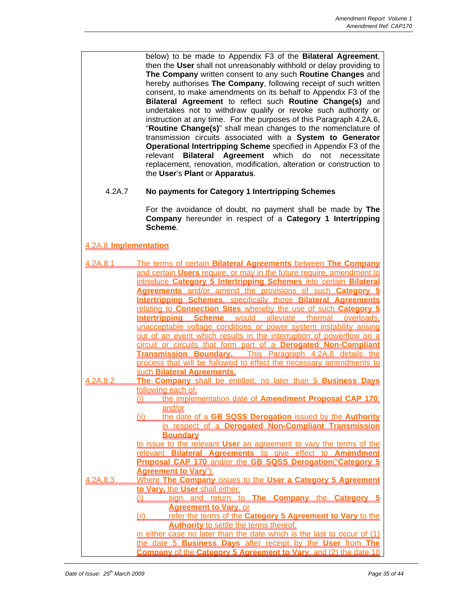below) to be made to Appendix F3 of the **Bilateral Agreement**, then the **User** shall not unreasonably withhold or delay providing to **The Company** written consent to any such **Routine Changes** and hereby authorises **The Company**, following receipt of such written consent, to make amendments on its behalf to Appendix F3 of the **Bilateral Agreement** to reflect such **Routine Change(s)** and undertakes not to withdraw qualify or revoke such authority or instruction at any time. For the purposes of this Paragraph 4.2A.6, "**Routine Change(s)**" shall mean changes to the nomenclature of transmission circuits associated with a **System to Generator Operational Intertripping Scheme** specified in Appendix F3 of the relevant **Bilateral Agreement** which do not necessitate replacement, renovation, modification, alteration or construction to the **User**'s **Plant** or **Apparatus**.

#### 4.2A.7 **No payments for Category 1 Intertripping Schemes**

For the avoidance of doubt, no payment shall be made by **The Company** hereunder in respect of a **Category 1 Intertripping Scheme**.

4.2A.8 **Implementation**

| 4 2A 8 1 | The terms of certain Bilateral Agreements between The Company                 |
|----------|-------------------------------------------------------------------------------|
|          | and certain Users require, or may in the future require, amendment to         |
|          | introduce Category 5 Intertripping Schemes into certain Bilateral             |
|          | Agreements and/or amend the provisions of such Category 5                     |
|          | <b>Intertripping Schemes</b> , specifically those Bilateral Agreements        |
|          | relating to <b>Connection Sites</b> whereby the use of such <b>Category 5</b> |
|          | Intertripping Scheme would alleviate thermal overloads.                       |
|          | unacceptable voltage conditions or power system instability arising           |
|          | out of an event which results in the interruption of powerflow on a           |
|          | circuit or circuits that form part of a Derogated Non-Compliant               |
|          | Transmission Boundary This Paragraph 4.2A.8 details the                       |
|          | process that will be followed to effect the necessary amendments to           |
|          | such Bilateral Agreements.                                                    |
| 4.2A.8.2 | The Company shall be entitled, no later than 5 Business Days                  |
|          | following each of:                                                            |
|          | the implementation date of Amendment Proposal CAP 170:                        |
|          | and/or                                                                        |
|          | (ii) the date of a GB SQSS Derogation issued by the Authority                 |
|          | in respect of a Derogated Non-Compliant Transmission                          |
|          | <b>Boundary</b>                                                               |
|          | to issue to the relevant User an agreement to vary the terms of the           |
|          | relevant Bilateral Agreements to give effect to Amendment                     |
|          | Proposal CAP 170 and/or the GB SQSS Derogation("Category 5                    |
|          | <b>Agreement to Vary").</b>                                                   |
| 4.2A.8.3 | Where The Company issues to the User a Category 5 Agreement                   |
|          | to Vary, the User shall either:<br>(i)                                        |
|          | sign and return to The Company the Category 5<br><b>Agreement to Vary, or</b> |
|          | refer the terms of the Category 5 Agreement to Vary to the<br>(ii)            |
|          | <b>Authority to settle the terms thereof.</b>                                 |
|          | in either case no later than the date which is the last to occur of (1)       |
|          | the date 5 Business Days after receipt by the User from The                   |
|          | Company of the Category 5 Agreement to Vary, and (2) the date 10              |
|          |                                                                               |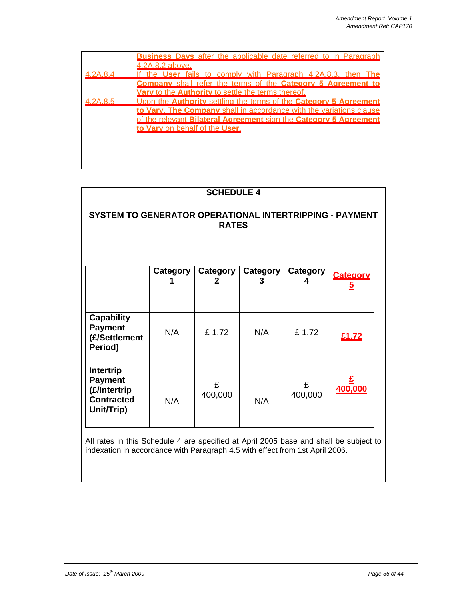|          | <b>Business Davs</b> after the applicable date referred to in Paragraph |
|----------|-------------------------------------------------------------------------|
|          | <u>.2A.8.2 above.</u>                                                   |
| 4.2A.8.4 | fails to comply with Paragraph 4.2A.8.3, then The<br>the <b>User</b>    |
|          | <b>Company</b> shall refer the terms of the Category 5 Agreement to     |
|          | Vary to the Authority to settle the terms thereof.                      |
| 4.2A.8.5 | Upon the Authority settling the terms of the Category 5 Agreement       |
|          | to Vary. The Company shall in accordance with the variations clause     |
|          | of the relevant Bilateral Agreement sign the Category 5 Agreement       |
|          | to Vary on behalf of the User.                                          |
|          |                                                                         |
|          |                                                                         |
|          |                                                                         |

| <b>SCHEDULE 4</b>                                                                     |          |               |                      |               |                            |  |  |  |
|---------------------------------------------------------------------------------------|----------|---------------|----------------------|---------------|----------------------------|--|--|--|
| SYSTEM TO GENERATOR OPERATIONAL INTERTRIPPING - PAYMENT<br><b>RATES</b>               |          |               |                      |               |                            |  |  |  |
|                                                                                       | Category | Category<br>2 | <b>Category</b><br>3 | Category<br>4 | Category<br>$\overline{5}$ |  |  |  |
| <b>Capability</b><br><b>Payment</b><br>(£/Settlement<br>Period)                       | N/A      | £1.72         | N/A                  | £1.72         | £1.72                      |  |  |  |
| <b>Intertrip</b><br><b>Payment</b><br>(£/Intertrip<br><b>Contracted</b><br>Unit/Trip) | N/A      | £<br>400,000  | N/A                  | £<br>400,000  | 400,000                    |  |  |  |

All rates in this Schedule 4 are specified at April 2005 base and shall be subject to indexation in accordance with Paragraph 4.5 with effect from 1st April 2006.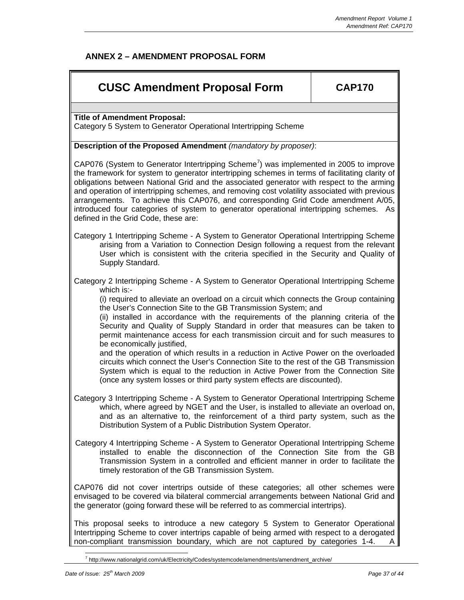## **ANNEX 2 – AMENDMENT PROPOSAL FORM**

# **CUSC Amendment Proposal Form CAP170**

**Title of Amendment Proposal:** 

Category 5 System to Generator Operational Intertripping Scheme

#### **Description of the Proposed Amendment** *(mandatory by proposer)*:

CAP076 (System to Generator Intertripping Scheme<sup>7</sup>) was implemented in 2005 to improve the framework for system to generator intertripping schemes in terms of facilitating clarity of obligations between National Grid and the associated generator with respect to the arming and operation of intertripping schemes, and removing cost volatility associated with previous arrangements. To achieve this CAP076, and corresponding Grid Code amendment A/05, introduced four categories of system to generator operational intertripping schemes. As defined in the Grid Code, these are:

Category 1 Intertripping Scheme - A System to Generator Operational Intertripping Scheme arising from a Variation to Connection Design following a request from the relevant User which is consistent with the criteria specified in the Security and Quality of Supply Standard.

Category 2 Intertripping Scheme - A System to Generator Operational Intertripping Scheme which is:-

(i) required to alleviate an overload on a circuit which connects the Group containing the User's Connection Site to the GB Transmission System; and

(ii) installed in accordance with the requirements of the planning criteria of the Security and Quality of Supply Standard in order that measures can be taken to permit maintenance access for each transmission circuit and for such measures to be economically justified.

and the operation of which results in a reduction in Active Power on the overloaded circuits which connect the User's Connection Site to the rest of the GB Transmission System which is equal to the reduction in Active Power from the Connection Site (once any system losses or third party system effects are discounted).

Category 3 Intertripping Scheme - A System to Generator Operational Intertripping Scheme which, where agreed by NGET and the User, is installed to alleviate an overload on, and as an alternative to, the reinforcement of a third party system, such as the Distribution System of a Public Distribution System Operator.

Category 4 Intertripping Scheme - A System to Generator Operational Intertripping Scheme installed to enable the disconnection of the Connection Site from the GB Transmission System in a controlled and efficient manner in order to facilitate the timely restoration of the GB Transmission System.

CAP076 did not cover intertrips outside of these categories; all other schemes were envisaged to be covered via bilateral commercial arrangements between National Grid and the generator (going forward these will be referred to as commercial intertrips).

This proposal seeks to introduce a new category 5 System to Generator Operational Intertripping Scheme to cover intertrips capable of being armed with respect to a derogated non-compliant transmission boundary, which are not captured by categories 1-4.

 $\overline{a}$ <sup>7</sup> http://www.nationalgrid.com/uk/Electricity/Codes/systemcode/amendments/amendment\_archive/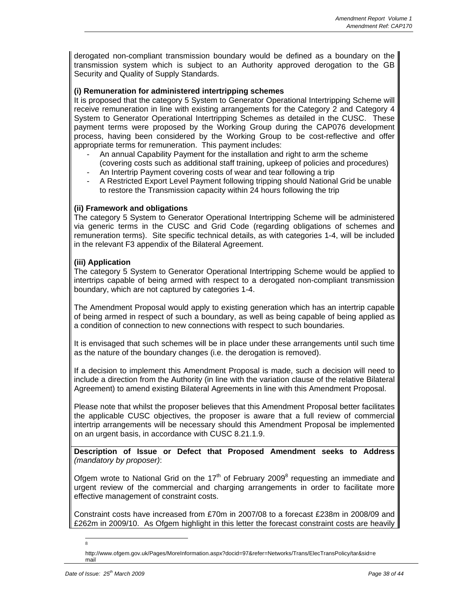derogated non-compliant transmission boundary would be defined as a boundary on the transmission system which is subject to an Authority approved derogation to the GB Security and Quality of Supply Standards.

#### **(i) Remuneration for administered intertripping schemes**

It is proposed that the category 5 System to Generator Operational Intertripping Scheme will receive remuneration in line with existing arrangements for the Category 2 and Category 4 System to Generator Operational Intertripping Schemes as detailed in the CUSC. These payment terms were proposed by the Working Group during the CAP076 development process, having been considered by the Working Group to be cost-reflective and offer appropriate terms for remuneration. This payment includes:

- An annual Capability Payment for the installation and right to arm the scheme (covering costs such as additional staff training, upkeep of policies and procedures)
- An Intertrip Payment covering costs of wear and tear following a trip
- A Restricted Export Level Payment following tripping should National Grid be unable to restore the Transmission capacity within 24 hours following the trip

#### **(ii) Framework and obligations**

The category 5 System to Generator Operational Intertripping Scheme will be administered via generic terms in the CUSC and Grid Code (regarding obligations of schemes and remuneration terms). Site specific technical details, as with categories 1-4, will be included in the relevant F3 appendix of the Bilateral Agreement.

#### **(iii) Application**

The category 5 System to Generator Operational Intertripping Scheme would be applied to intertrips capable of being armed with respect to a derogated non-compliant transmission boundary, which are not captured by categories 1-4.

The Amendment Proposal would apply to existing generation which has an intertrip capable of being armed in respect of such a boundary, as well as being capable of being applied as a condition of connection to new connections with respect to such boundaries.

It is envisaged that such schemes will be in place under these arrangements until such time as the nature of the boundary changes (i.e. the derogation is removed).

If a decision to implement this Amendment Proposal is made, such a decision will need to include a direction from the Authority (in line with the variation clause of the relative Bilateral Agreement) to amend existing Bilateral Agreements in line with this Amendment Proposal.

Please note that whilst the proposer believes that this Amendment Proposal better facilitates the applicable CUSC objectives, the proposer is aware that a full review of commercial intertrip arrangements will be necessary should this Amendment Proposal be implemented on an urgent basis, in accordance with CUSC 8.21.1.9.

**Description of Issue or Defect that Proposed Amendment seeks to Address**  *(mandatory by proposer)*:

Ofgem wrote to National Grid on the 17<sup>th</sup> of February 2009<sup>8</sup> requesting an immediate and urgent review of the commercial and charging arrangements in order to facilitate more effective management of constraint costs.

Constraint costs have increased from £70m in 2007/08 to a forecast £238m in 2008/09 and £262m in 2009/10. As Ofgem highlight in this letter the forecast constraint costs are heavily

 $\overline{a}$ 8

http://www.ofgem.gov.uk/Pages/MoreInformation.aspx?docid=97&refer=Networks/Trans/ElecTransPolicy/tar&sid=e mail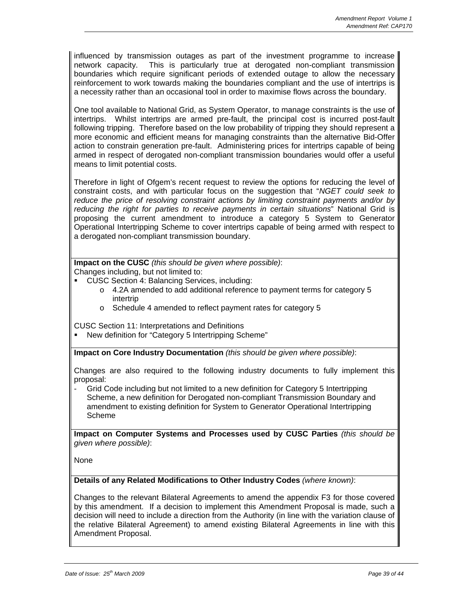influenced by transmission outages as part of the investment programme to increase network capacity. This is particularly true at derogated non-compliant transmission boundaries which require significant periods of extended outage to allow the necessary reinforcement to work towards making the boundaries compliant and the use of intertrips is a necessity rather than an occasional tool in order to maximise flows across the boundary.

One tool available to National Grid, as System Operator, to manage constraints is the use of intertrips. Whilst intertrips are armed pre-fault, the principal cost is incurred post-fault following tripping. Therefore based on the low probability of tripping they should represent a more economic and efficient means for managing constraints than the alternative Bid-Offer action to constrain generation pre-fault. Administering prices for intertrips capable of being armed in respect of derogated non-compliant transmission boundaries would offer a useful means to limit potential costs.

Therefore in light of Ofgem's recent request to review the options for reducing the level of constraint costs, and with particular focus on the suggestion that "*NGET could seek to reduce the price of resolving constraint actions by limiting constraint payments and/or by reducing the right for parties to receive payments in certain situations*" National Grid is proposing the current amendment to introduce a category 5 System to Generator Operational Intertripping Scheme to cover intertrips capable of being armed with respect to a derogated non-compliant transmission boundary.

**Impact on the CUSC** *(this should be given where possible)*: Changes including, but not limited to:

- **CUSC Section 4: Balancing Services, including:** 
	- o 4.2A amended to add additional reference to payment terms for category 5 intertrip
	- o Schedule 4 amended to reflect payment rates for category 5

CUSC Section 11: Interpretations and Definitions

New definition for "Category 5 Intertripping Scheme"

**Impact on Core Industry Documentation** *(this should be given where possible)*:

Changes are also required to the following industry documents to fully implement this proposal:

Grid Code including but not limited to a new definition for Category 5 Intertripping Scheme, a new definition for Derogated non-compliant Transmission Boundary and amendment to existing definition for System to Generator Operational Intertripping Scheme

**Impact on Computer Systems and Processes used by CUSC Parties** *(this should be given where possible)*:

None

#### **Details of any Related Modifications to Other Industry Codes** *(where known)*:

Changes to the relevant Bilateral Agreements to amend the appendix F3 for those covered by this amendment. If a decision to implement this Amendment Proposal is made, such a decision will need to include a direction from the Authority (in line with the variation clause of the relative Bilateral Agreement) to amend existing Bilateral Agreements in line with this Amendment Proposal.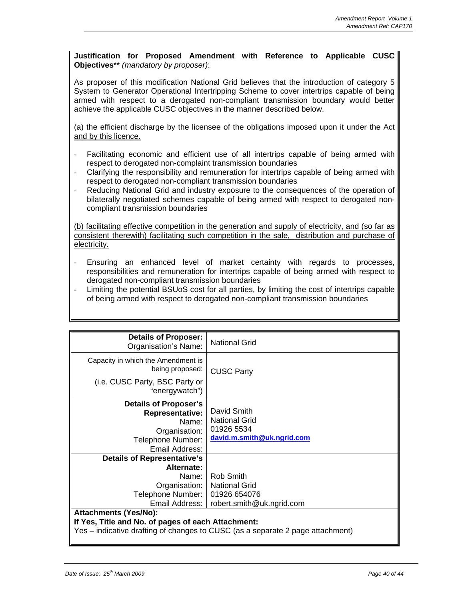#### **Justification for Proposed Amendment with Reference to Applicable CUSC Objectives**\*\* *(mandatory by proposer)*:

As proposer of this modification National Grid believes that the introduction of category 5 System to Generator Operational Intertripping Scheme to cover intertrips capable of being armed with respect to a derogated non-compliant transmission boundary would better achieve the applicable CUSC objectives in the manner described below.

(a) the efficient discharge by the licensee of the obligations imposed upon it under the Act and by this licence.

- Facilitating economic and efficient use of all intertrips capable of being armed with respect to derogated non-complaint transmission boundaries
- Clarifying the responsibility and remuneration for intertrips capable of being armed with respect to derogated non-compliant transmission boundaries
- Reducing National Grid and industry exposure to the consequences of the operation of bilaterally negotiated schemes capable of being armed with respect to derogated noncompliant transmission boundaries

(b) facilitating effective competition in the generation and supply of electricity, and (so far as consistent therewith) facilitating such competition in the sale, distribution and purchase of electricity.

- Ensuring an enhanced level of market certainty with regards to processes, responsibilities and remuneration for intertrips capable of being armed with respect to derogated non-compliant transmission boundaries
- Limiting the potential BSUoS cost for all parties, by limiting the cost of intertrips capable of being armed with respect to derogated non-compliant transmission boundaries

| <b>Details of Proposer:</b><br>Organisation's Name:                                                                                                                  | <b>National Grid</b>                                                            |  |
|----------------------------------------------------------------------------------------------------------------------------------------------------------------------|---------------------------------------------------------------------------------|--|
| Capacity in which the Amendment is<br>being proposed:                                                                                                                | <b>CUSC Party</b>                                                               |  |
| (i.e. CUSC Party, BSC Party or<br>"energywatch")                                                                                                                     |                                                                                 |  |
| <b>Details of Proposer's</b><br><b>Representative:</b><br>Name:<br>Organisation:<br>Telephone Number:<br>Email Address:                                              | David Smith<br><b>National Grid</b><br>01926 5534<br>david.m.smith@uk.ngrid.com |  |
| <b>Details of Representative's</b>                                                                                                                                   |                                                                                 |  |
| Alternate:<br>Name: I<br>Organisation:  <br>Telephone Number:<br>Email Address:                                                                                      | Rob Smith<br><b>National Grid</b><br>01926 654076<br>robert.smith@uk.ngrid.com  |  |
| <b>Attachments (Yes/No):</b><br>If Yes, Title and No. of pages of each Attachment:<br>Yes - indicative drafting of changes to CUSC (as a separate 2 page attachment) |                                                                                 |  |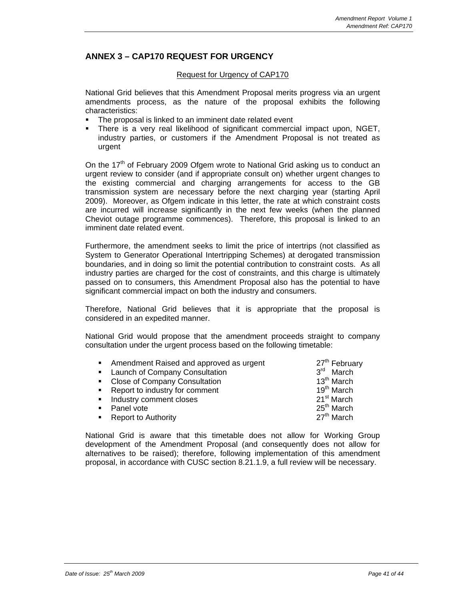## **ANNEX 3 – CAP170 REQUEST FOR URGENCY**

#### Request for Urgency of CAP170

National Grid believes that this Amendment Proposal merits progress via an urgent amendments process, as the nature of the proposal exhibits the following characteristics:

- The proposal is linked to an imminent date related event
- There is a very real likelihood of significant commercial impact upon, NGET, industry parties, or customers if the Amendment Proposal is not treated as urgent

On the  $17<sup>th</sup>$  of February 2009 Ofgem wrote to National Grid asking us to conduct an urgent review to consider (and if appropriate consult on) whether urgent changes to the existing commercial and charging arrangements for access to the GB transmission system are necessary before the next charging year (starting April 2009). Moreover, as Ofgem indicate in this letter, the rate at which constraint costs are incurred will increase significantly in the next few weeks (when the planned Cheviot outage programme commences). Therefore, this proposal is linked to an imminent date related event.

Furthermore, the amendment seeks to limit the price of intertrips (not classified as System to Generator Operational Intertripping Schemes) at derogated transmission boundaries, and in doing so limit the potential contribution to constraint costs. As all industry parties are charged for the cost of constraints, and this charge is ultimately passed on to consumers, this Amendment Proposal also has the potential to have significant commercial impact on both the industry and consumers.

Therefore, National Grid believes that it is appropriate that the proposal is considered in an expedited manner.

National Grid would propose that the amendment proceeds straight to company consultation under the urgent process based on the following timetable:

| • Amendment Raised and approved as urgent | 27 <sup>th</sup> February |
|-------------------------------------------|---------------------------|
| • Launch of Company Consultation          | $3rd$ March               |
| • Close of Company Consultation           | $13th$ March              |
| • Report to industry for comment          | 19 <sup>th</sup> March    |
| • Industry comment closes                 | 21 <sup>st</sup> March    |
| Panel vote                                | $25th$ March              |
| • Report to Authority                     | 27 <sup>th</sup> March    |

National Grid is aware that this timetable does not allow for Working Group development of the Amendment Proposal (and consequently does not allow for alternatives to be raised); therefore, following implementation of this amendment proposal, in accordance with CUSC section 8.21.1.9, a full review will be necessary.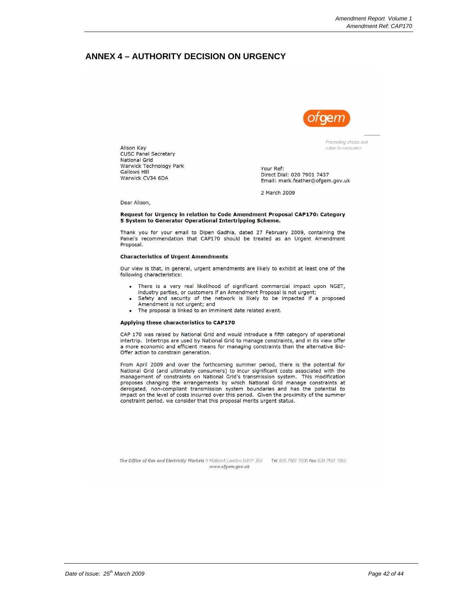#### **ANNEX 4 – AUTHORITY DECISION ON URGENCY**



Promoting choice and value to customers

Your Ref: Direct Dial: 020 7901 7437 Email: mark.feather@ofgem.gov.uk

2 March 2009

Dear Alison,

**Alison Kay** 

**Gallows Hill** 

**CUSC Panel Secretary National Grid** 

Warwick CV34 6DA

Warwick Technology Park

#### Request for Urgency in relation to Code Amendment Proposal CAP170: Category 5 System to Generator Operational Intertripping Scheme.

Thank you for your email to Dipen Gadhia, dated 27 February 2009, containing the Panel's recommendation that CAP170 should be treated as an Urgent Amendment Proposal.

#### **Characteristics of Urgent Amendments**

Our view is that, in general, urgent amendments are likely to exhibit at least one of the following characteristics:

- There is a very real likelihood of significant commercial impact upon NGET, industry parties, or customers if an Amendment Proposal is not urgent;
- Safety and security of the network is likely to be impacted if a proposed Amendment is not urgent; and
- The proposal is linked to an imminent date related event.

#### Applying these characteristics to CAP170

CAP 170 was raised by National Grid and would introduce a fifth category of operational intertrip. Intertrips are used by National Grid to manage constraints, and in its view offer a more economic and efficient means for managing constraints than the alternative Bid-Offer action to constrain generation.

From April 2009 and over the forthcoming summer period, there is the potential for National Grid (and ultimately consumers) to incur significant costs associated with the management of constraints on National Grid's transmission system. This modification proposes changing the arrangements by which National Grid manage constraints at derogated, non-compliant transmission system boundaries and has the potential to<br>impact on the level of costs incurred over this period. Given the proximity of the summer constraint period, we consider that this proposal merits urgent status.

The Office of Gas and Electricity Markets 9 Millbank London SW1P 3GE Tel 020 7901 7000 Fax 020 7901 7066 www.ofgem.gov.uk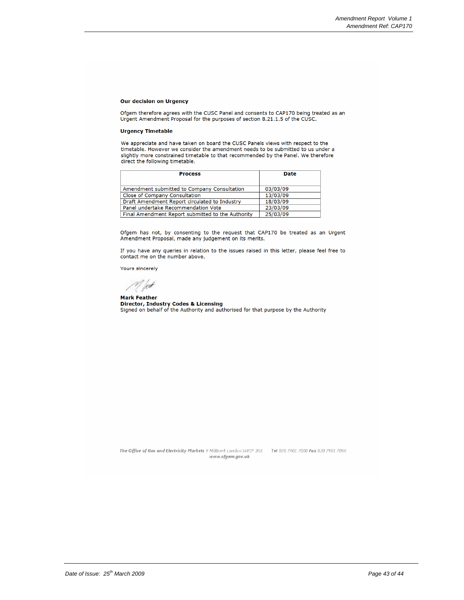#### **Our decision on Urgency**

Ofgem therefore agrees with the CUSC Panel and consents to CAP170 being treated as an<br>Urgent Amendment Proposal for the purposes of section 8.21.1.5 of the CUSC.

#### **Urgency Timetable**

We appreciate and have taken on board the CUSC Panels views with respect to the timetable. However we consider the amendment needs to be submitted to us under a slightly more constrained timetable to that recommended by the Panel. We therefore direct the following timetable.

| <b>Process</b>                                    | <b>Date</b> |
|---------------------------------------------------|-------------|
|                                                   |             |
| Amendment submitted to Company Consultation       | 03/03/09    |
| Close of Company Consultation                     | 13/03/09    |
| Draft Amendment Report circulated to Industry     | 18/03/09    |
| Panel undertake Recommendation Vote               | 23/03/09    |
| Final Amendment Report submitted to the Authority | 25/03/09    |

Ofgem has not, by consenting to the request that CAP170 be treated as an Urgent Amendment Proposal, made any judgement on its merits.

If you have any queries in relation to the issues raised in this letter, please feel free to contact me on the number above.

Yours sincerely

 $\mathscr{N}$  feet

**Mark Feather Director, Industry Codes & Licensing** Signed on behalf of the Authority and authorised for that purpose by the Authority

The Office of Gas and Electricity Markets 9 Millbank London SW1P 3GE Tel 020 7901 7000 Fax 020 7901 7066 www.ofgem.gov.uk